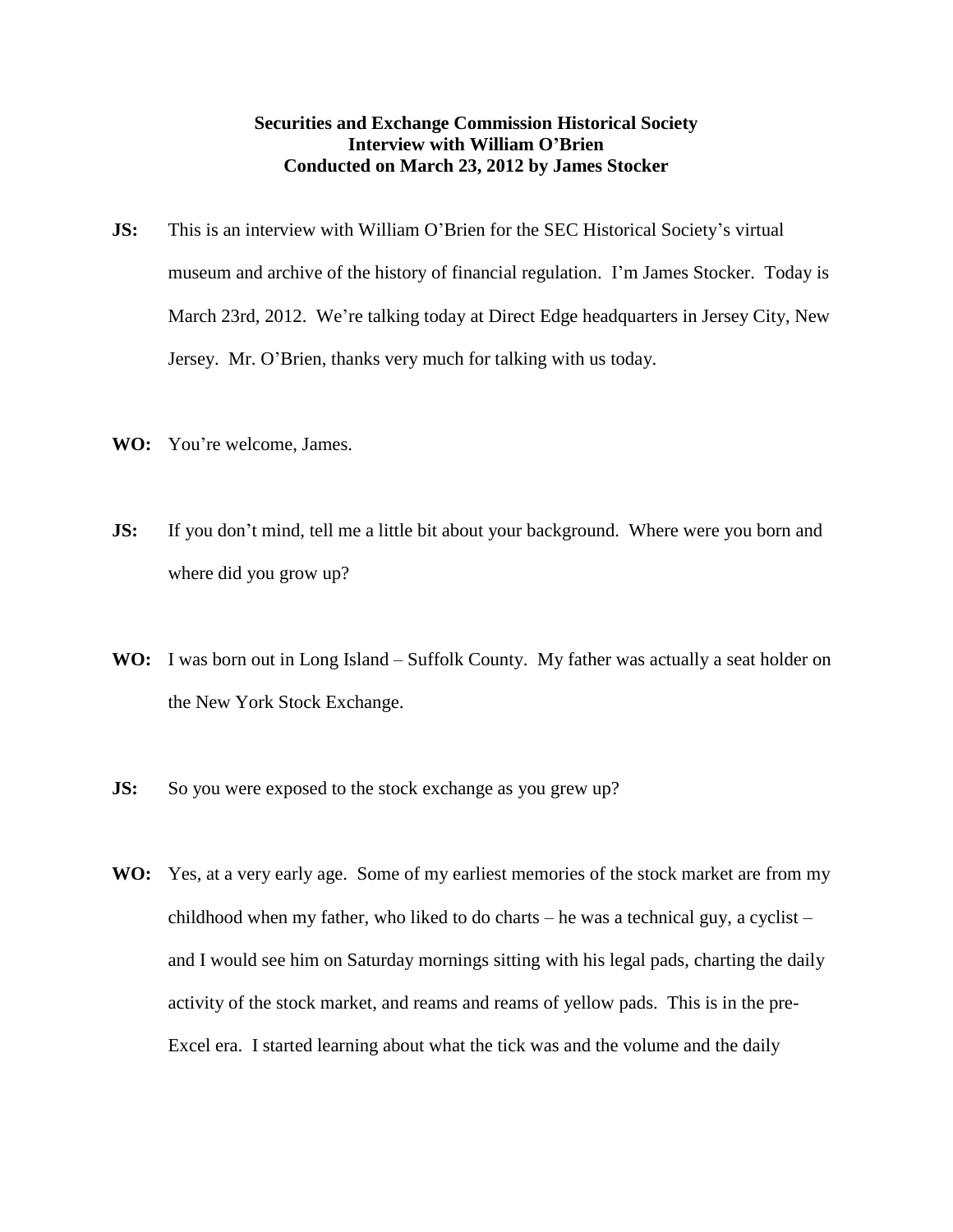## **Securities and Exchange Commission Historical Society Interview with William O'Brien Conducted on March 23, 2012 by James Stocker**

- **JS:** This is an interview with William O'Brien for the SEC Historical Society's virtual museum and archive of the history of financial regulation. I'm James Stocker. Today is March 23rd, 2012. We're talking today at Direct Edge headquarters in Jersey City, New Jersey. Mr. O'Brien, thanks very much for talking with us today.
- **WO:** You're welcome, James.
- **JS:** If you don't mind, tell me a little bit about your background. Where were you born and where did you grow up?
- WO: I was born out in Long Island Suffolk County. My father was actually a seat holder on the New York Stock Exchange.
- **JS:** So you were exposed to the stock exchange as you grew up?
- **WO:** Yes, at a very early age. Some of my earliest memories of the stock market are from my childhood when my father, who liked to do charts – he was a technical guy, a cyclist – and I would see him on Saturday mornings sitting with his legal pads, charting the daily activity of the stock market, and reams and reams of yellow pads. This is in the pre-Excel era. I started learning about what the tick was and the volume and the daily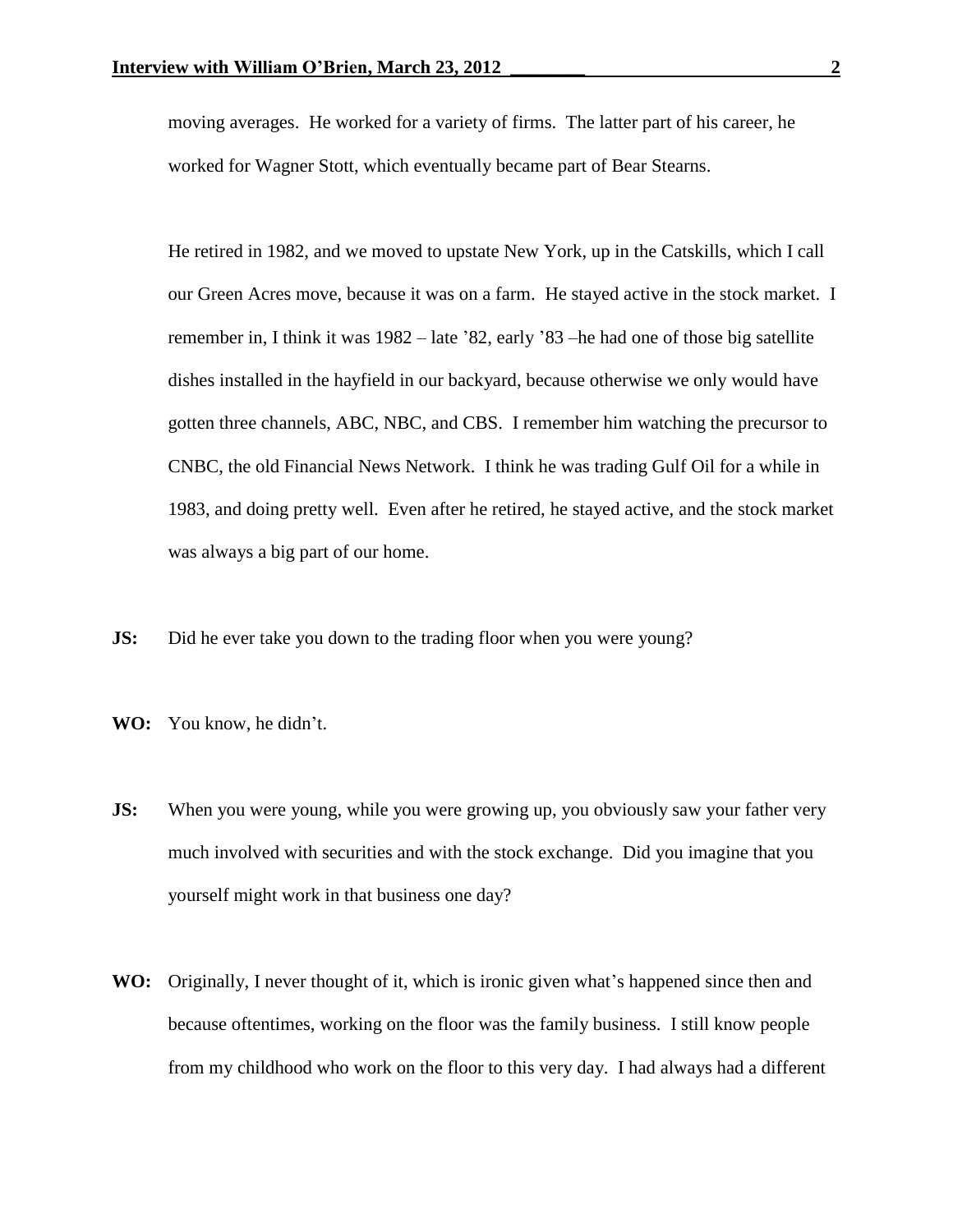moving averages. He worked for a variety of firms. The latter part of his career, he worked for Wagner Stott, which eventually became part of Bear Stearns.

He retired in 1982, and we moved to upstate New York, up in the Catskills, which I call our Green Acres move, because it was on a farm. He stayed active in the stock market. I remember in, I think it was 1982 – late '82, early '83 –he had one of those big satellite dishes installed in the hayfield in our backyard, because otherwise we only would have gotten three channels, ABC, NBC, and CBS. I remember him watching the precursor to CNBC, the old Financial News Network. I think he was trading Gulf Oil for a while in 1983, and doing pretty well. Even after he retired, he stayed active, and the stock market was always a big part of our home.

**JS:** Did he ever take you down to the trading floor when you were young?

- **WO:** You know, he didn't.
- **JS:** When you were young, while you were growing up, you obviously saw your father very much involved with securities and with the stock exchange. Did you imagine that you yourself might work in that business one day?
- **WO:** Originally, I never thought of it, which is ironic given what's happened since then and because oftentimes, working on the floor was the family business. I still know people from my childhood who work on the floor to this very day. I had always had a different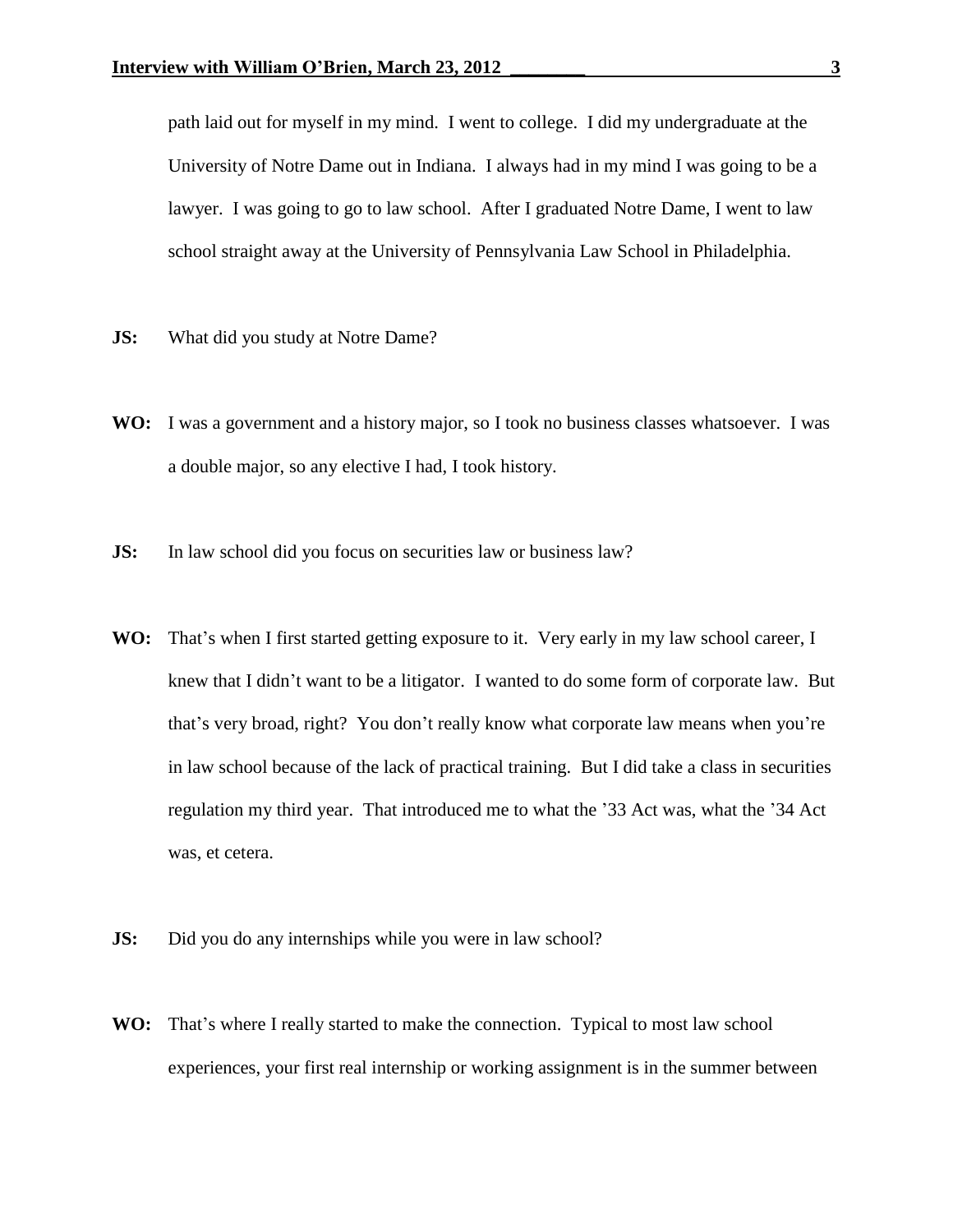path laid out for myself in my mind. I went to college. I did my undergraduate at the University of Notre Dame out in Indiana. I always had in my mind I was going to be a lawyer. I was going to go to law school. After I graduated Notre Dame, I went to law school straight away at the University of Pennsylvania Law School in Philadelphia.

- **JS:** What did you study at Notre Dame?
- **WO:** I was a government and a history major, so I took no business classes whatsoever. I was a double major, so any elective I had, I took history.
- **JS:** In law school did you focus on securities law or business law?
- **WO:** That's when I first started getting exposure to it. Very early in my law school career, I knew that I didn't want to be a litigator. I wanted to do some form of corporate law. But that's very broad, right? You don't really know what corporate law means when you're in law school because of the lack of practical training. But I did take a class in securities regulation my third year. That introduced me to what the '33 Act was, what the '34 Act was, et cetera.
- **JS:** Did you do any internships while you were in law school?
- **WO:** That's where I really started to make the connection. Typical to most law school experiences, your first real internship or working assignment is in the summer between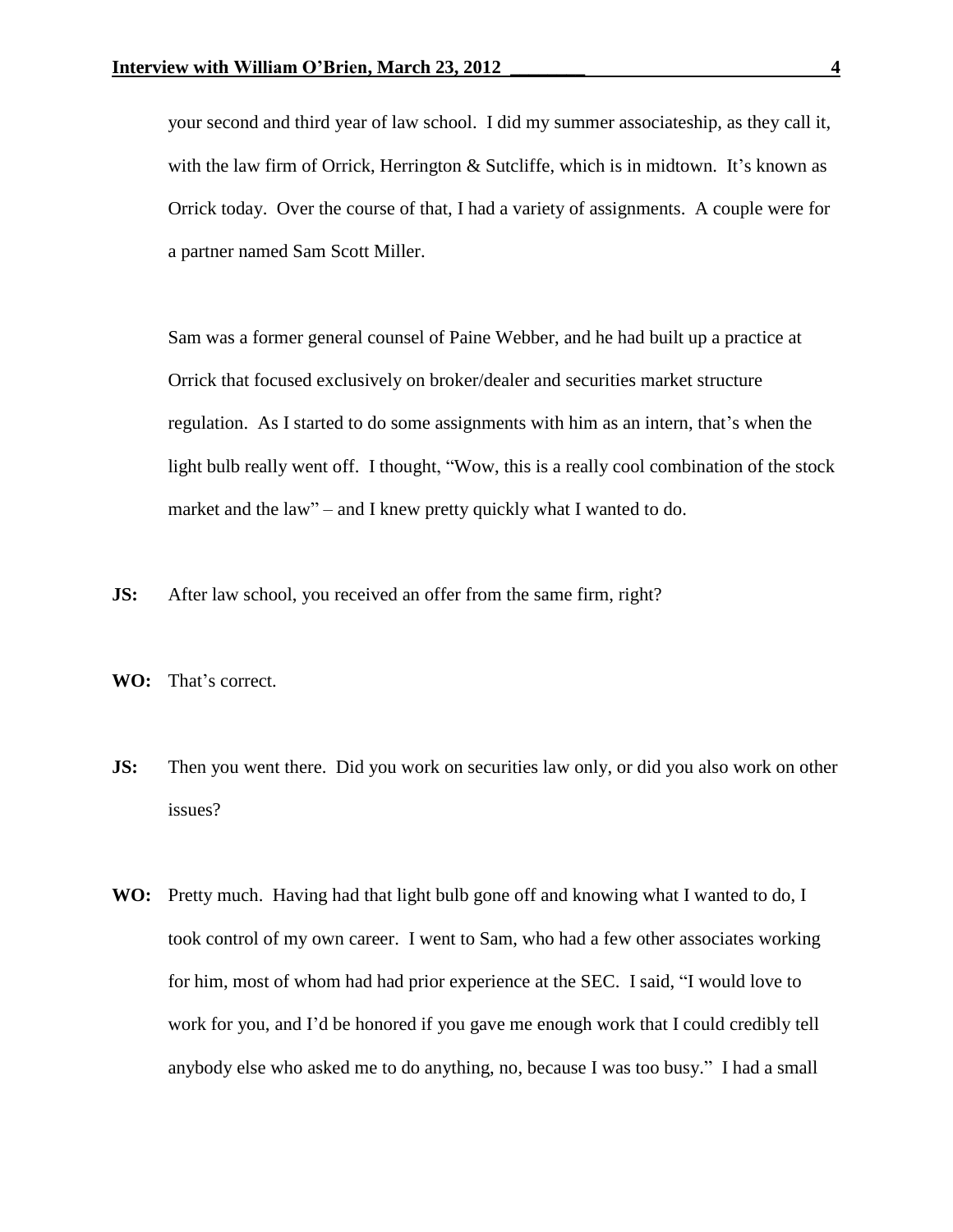your second and third year of law school. I did my summer associateship, as they call it, with the law firm of Orrick, Herrington  $&$  Sutcliffe, which is in midtown. It's known as Orrick today. Over the course of that, I had a variety of assignments. A couple were for a partner named Sam Scott Miller.

Sam was a former general counsel of Paine Webber, and he had built up a practice at Orrick that focused exclusively on broker/dealer and securities market structure regulation. As I started to do some assignments with him as an intern, that's when the light bulb really went off. I thought, "Wow, this is a really cool combination of the stock market and the law" – and I knew pretty quickly what I wanted to do.

- **JS:** After law school, you received an offer from the same firm, right?
- **WO:** That's correct.
- **JS:** Then you went there. Did you work on securities law only, or did you also work on other issues?
- **WO:** Pretty much. Having had that light bulb gone off and knowing what I wanted to do, I took control of my own career. I went to Sam, who had a few other associates working for him, most of whom had had prior experience at the SEC. I said, "I would love to work for you, and I'd be honored if you gave me enough work that I could credibly tell anybody else who asked me to do anything, no, because I was too busy." I had a small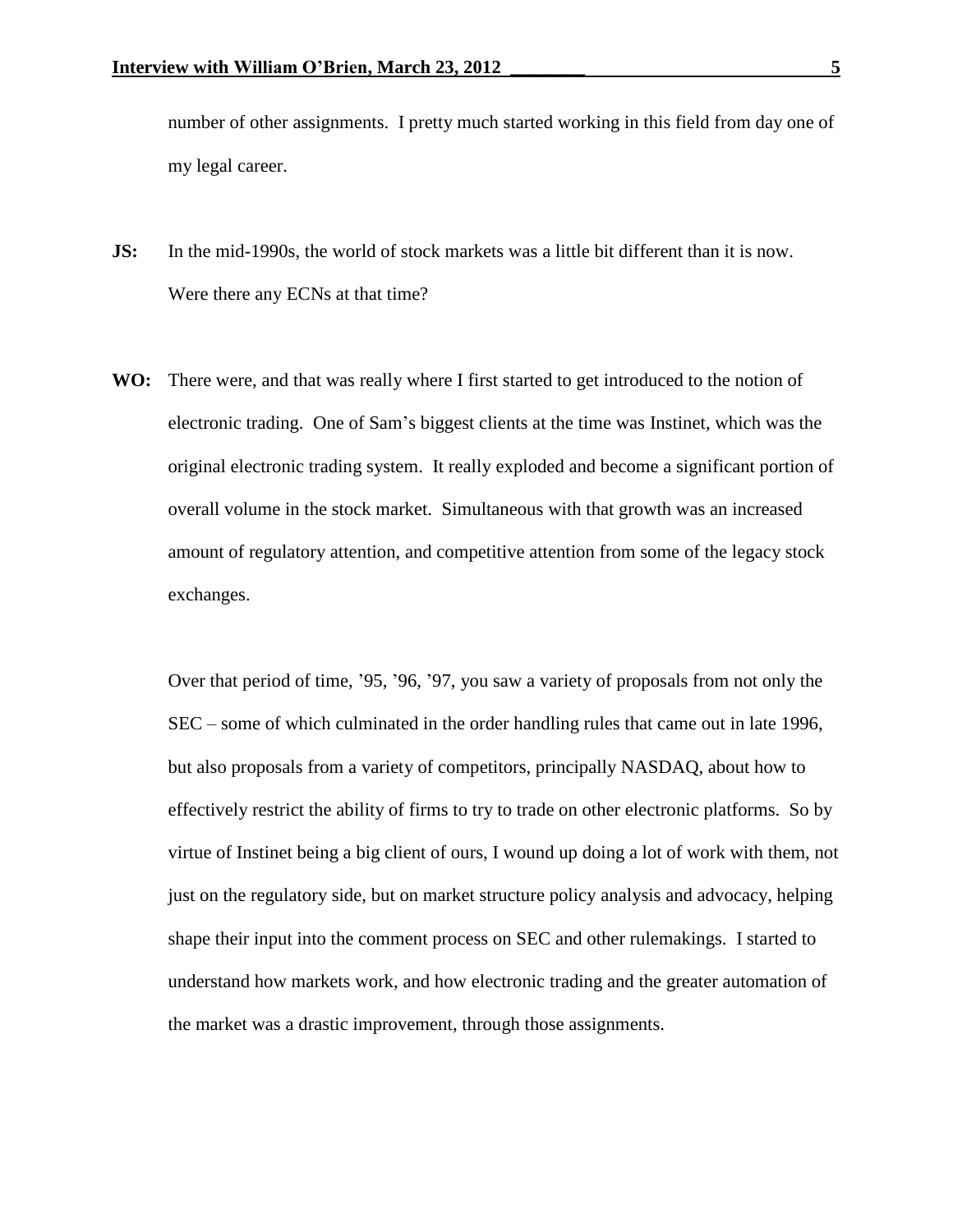number of other assignments. I pretty much started working in this field from day one of my legal career.

- **JS:** In the mid-1990s, the world of stock markets was a little bit different than it is now. Were there any ECNs at that time?
- **WO:** There were, and that was really where I first started to get introduced to the notion of electronic trading. One of Sam's biggest clients at the time was Instinet, which was the original electronic trading system. It really exploded and become a significant portion of overall volume in the stock market. Simultaneous with that growth was an increased amount of regulatory attention, and competitive attention from some of the legacy stock exchanges.

Over that period of time, '95, '96, '97, you saw a variety of proposals from not only the SEC – some of which culminated in the order handling rules that came out in late 1996, but also proposals from a variety of competitors, principally NASDAQ, about how to effectively restrict the ability of firms to try to trade on other electronic platforms. So by virtue of Instinet being a big client of ours, I wound up doing a lot of work with them, not just on the regulatory side, but on market structure policy analysis and advocacy, helping shape their input into the comment process on SEC and other rulemakings. I started to understand how markets work, and how electronic trading and the greater automation of the market was a drastic improvement, through those assignments.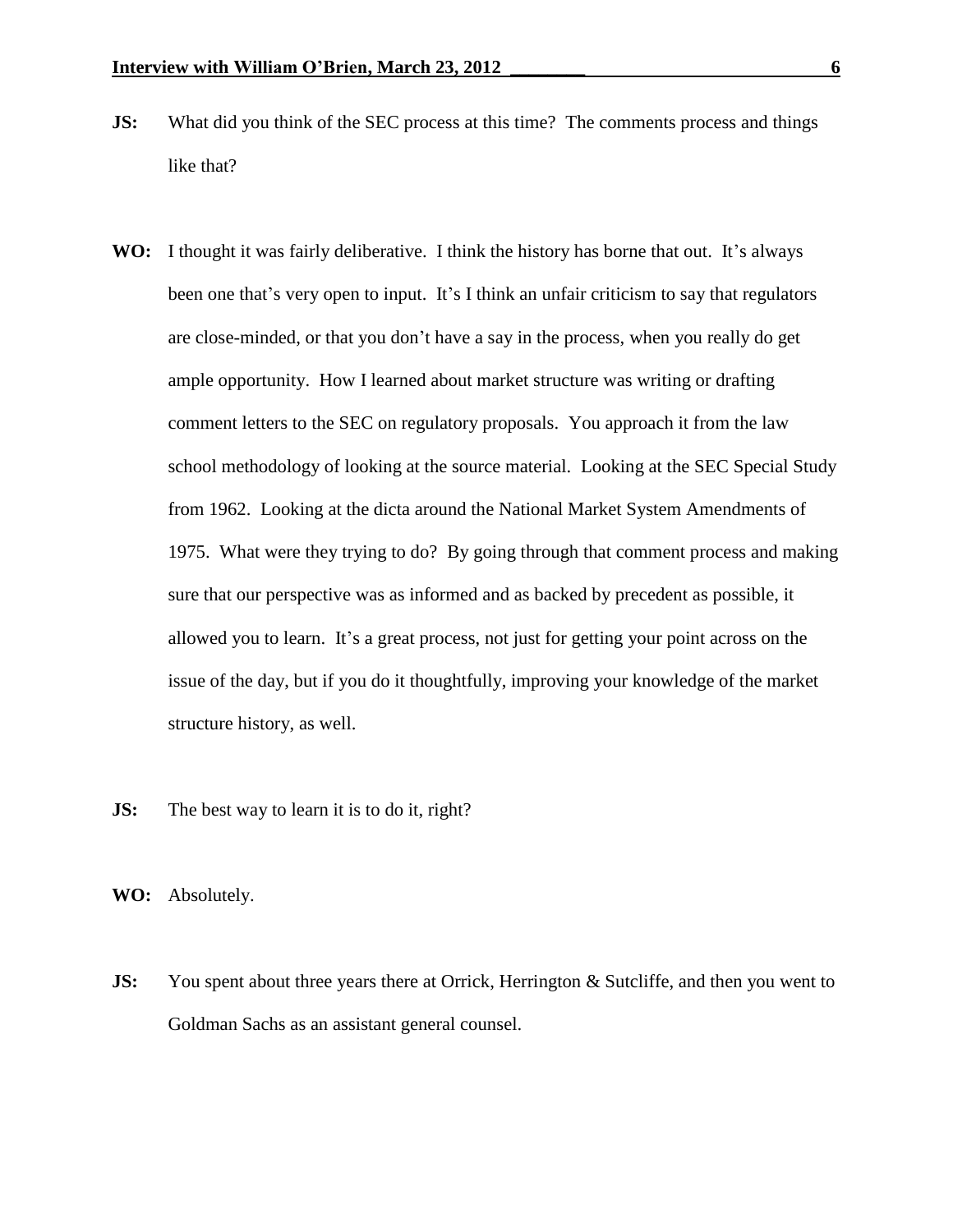- **JS:** What did you think of the SEC process at this time? The comments process and things like that?
- **WO:** I thought it was fairly deliberative. I think the history has borne that out. It's always been one that's very open to input. It's I think an unfair criticism to say that regulators are close-minded, or that you don't have a say in the process, when you really do get ample opportunity. How I learned about market structure was writing or drafting comment letters to the SEC on regulatory proposals. You approach it from the law school methodology of looking at the source material. Looking at the SEC Special Study from 1962. Looking at the dicta around the National Market System Amendments of 1975. What were they trying to do? By going through that comment process and making sure that our perspective was as informed and as backed by precedent as possible, it allowed you to learn. It's a great process, not just for getting your point across on the issue of the day, but if you do it thoughtfully, improving your knowledge of the market structure history, as well.
- **JS:** The best way to learn it is to do it, right?
- **WO:** Absolutely.
- **JS:** You spent about three years there at Orrick, Herrington & Sutcliffe, and then you went to Goldman Sachs as an assistant general counsel.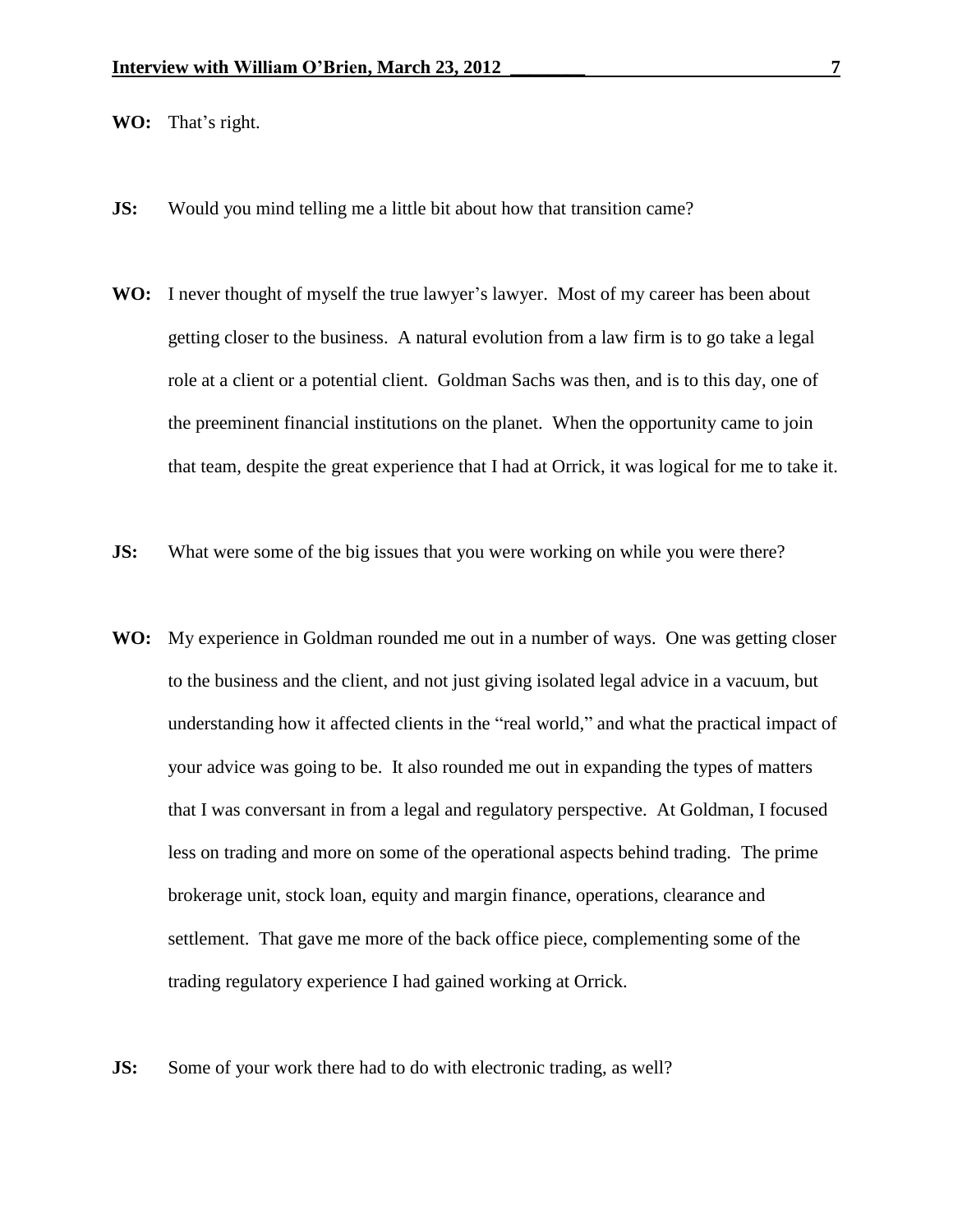- **WO:** That's right.
- **JS:** Would you mind telling me a little bit about how that transition came?
- **WO:** I never thought of myself the true lawyer's lawyer. Most of my career has been about getting closer to the business. A natural evolution from a law firm is to go take a legal role at a client or a potential client. Goldman Sachs was then, and is to this day, one of the preeminent financial institutions on the planet. When the opportunity came to join that team, despite the great experience that I had at Orrick, it was logical for me to take it.
- **JS:** What were some of the big issues that you were working on while you were there?
- **WO:** My experience in Goldman rounded me out in a number of ways. One was getting closer to the business and the client, and not just giving isolated legal advice in a vacuum, but understanding how it affected clients in the "real world," and what the practical impact of your advice was going to be. It also rounded me out in expanding the types of matters that I was conversant in from a legal and regulatory perspective. At Goldman, I focused less on trading and more on some of the operational aspects behind trading. The prime brokerage unit, stock loan, equity and margin finance, operations, clearance and settlement. That gave me more of the back office piece, complementing some of the trading regulatory experience I had gained working at Orrick.
- **JS:** Some of your work there had to do with electronic trading, as well?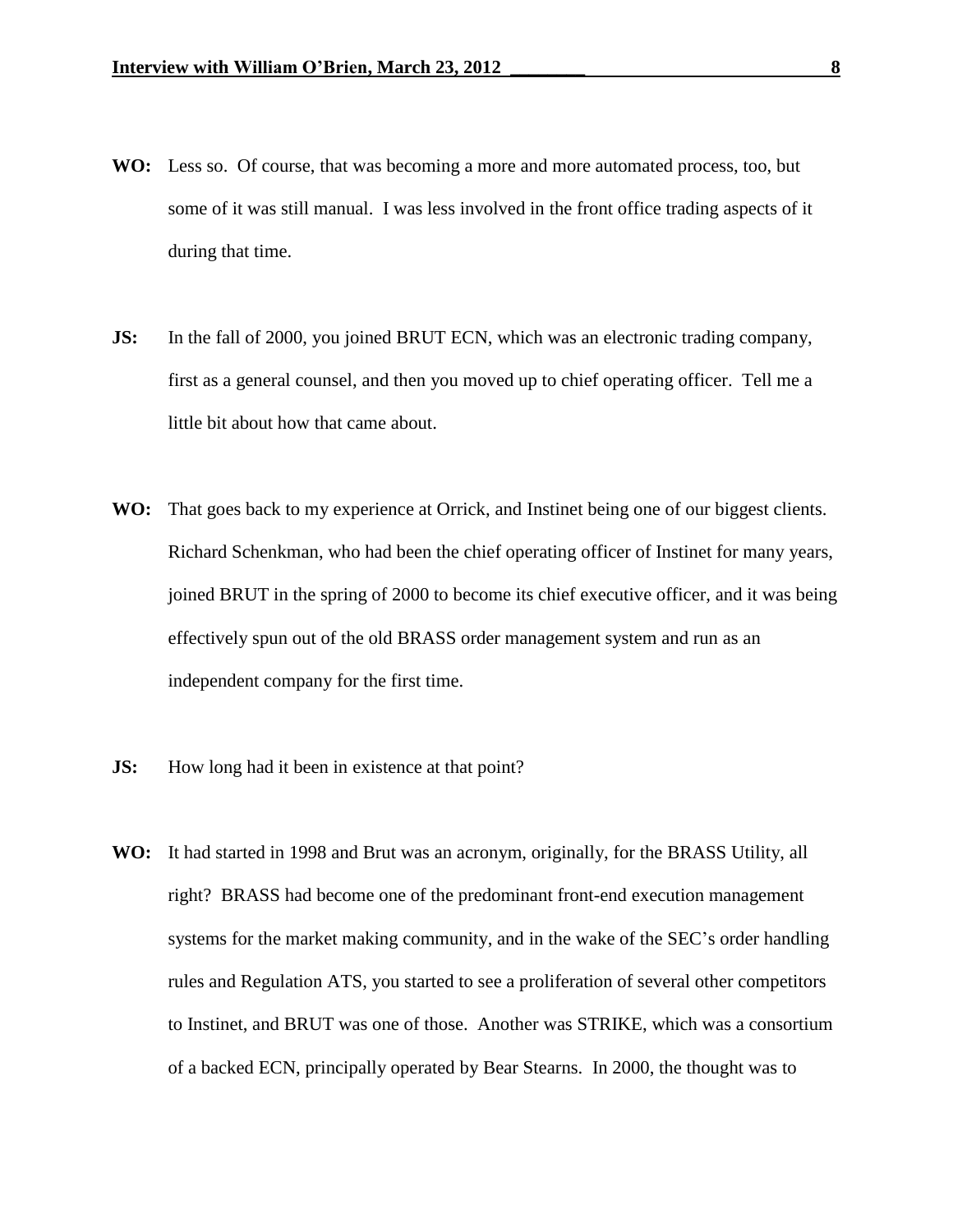- **WO:** Less so. Of course, that was becoming a more and more automated process, too, but some of it was still manual. I was less involved in the front office trading aspects of it during that time.
- **JS:** In the fall of 2000, you joined BRUT ECN, which was an electronic trading company, first as a general counsel, and then you moved up to chief operating officer. Tell me a little bit about how that came about.
- WO: That goes back to my experience at Orrick, and Instinet being one of our biggest clients. Richard Schenkman, who had been the chief operating officer of Instinet for many years, joined BRUT in the spring of 2000 to become its chief executive officer, and it was being effectively spun out of the old BRASS order management system and run as an independent company for the first time.
- **JS:** How long had it been in existence at that point?
- **WO:** It had started in 1998 and Brut was an acronym, originally, for the BRASS Utility, all right? BRASS had become one of the predominant front-end execution management systems for the market making community, and in the wake of the SEC's order handling rules and Regulation ATS, you started to see a proliferation of several other competitors to Instinet, and BRUT was one of those. Another was STRIKE, which was a consortium of a backed ECN, principally operated by Bear Stearns. In 2000, the thought was to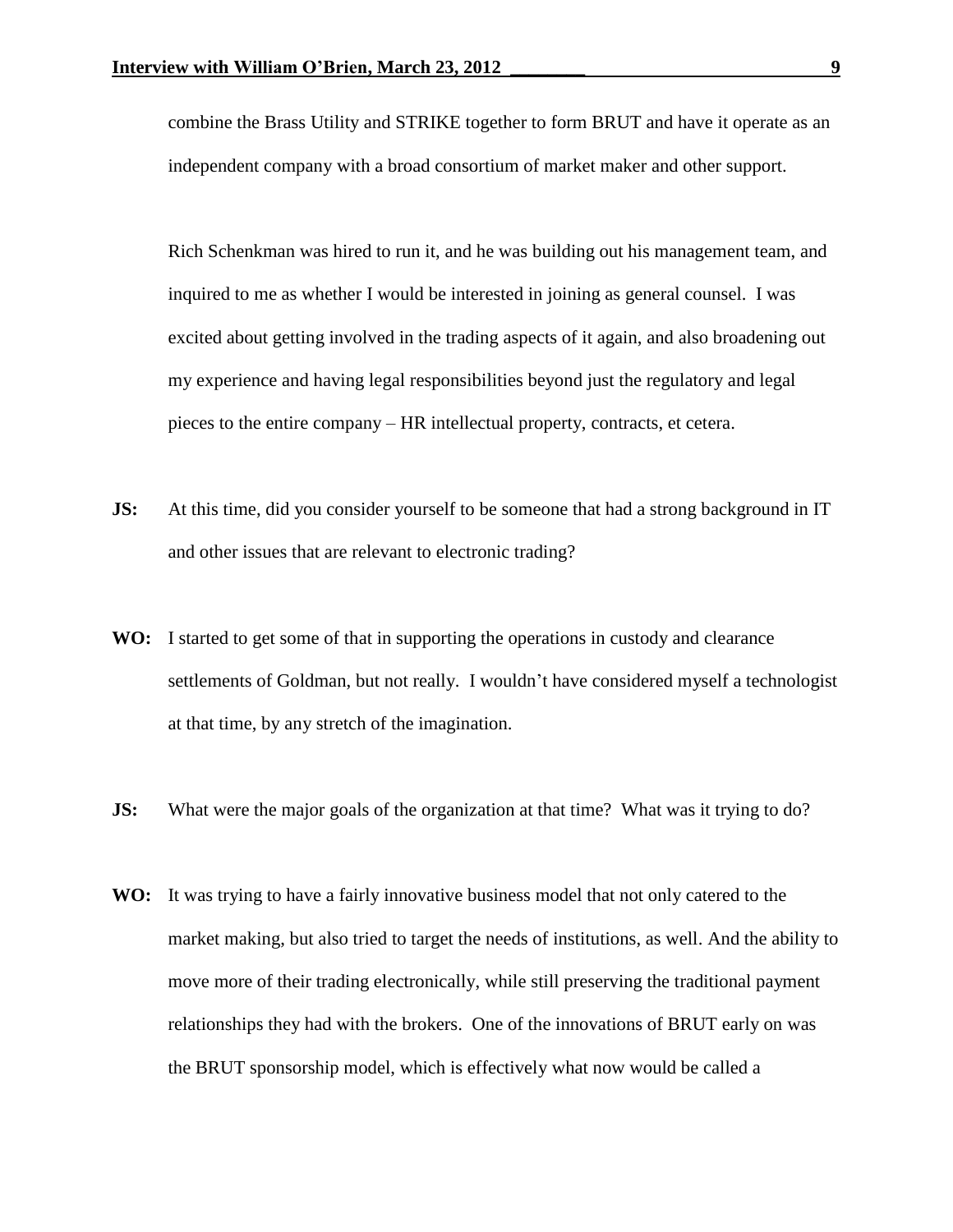combine the Brass Utility and STRIKE together to form BRUT and have it operate as an independent company with a broad consortium of market maker and other support.

Rich Schenkman was hired to run it, and he was building out his management team, and inquired to me as whether I would be interested in joining as general counsel. I was excited about getting involved in the trading aspects of it again, and also broadening out my experience and having legal responsibilities beyond just the regulatory and legal pieces to the entire company – HR intellectual property, contracts, et cetera.

- **JS:** At this time, did you consider yourself to be someone that had a strong background in IT and other issues that are relevant to electronic trading?
- **WO:** I started to get some of that in supporting the operations in custody and clearance settlements of Goldman, but not really. I wouldn't have considered myself a technologist at that time, by any stretch of the imagination.
- **JS:** What were the major goals of the organization at that time? What was it trying to do?
- **WO:** It was trying to have a fairly innovative business model that not only catered to the market making, but also tried to target the needs of institutions, as well. And the ability to move more of their trading electronically, while still preserving the traditional payment relationships they had with the brokers. One of the innovations of BRUT early on was the BRUT sponsorship model, which is effectively what now would be called a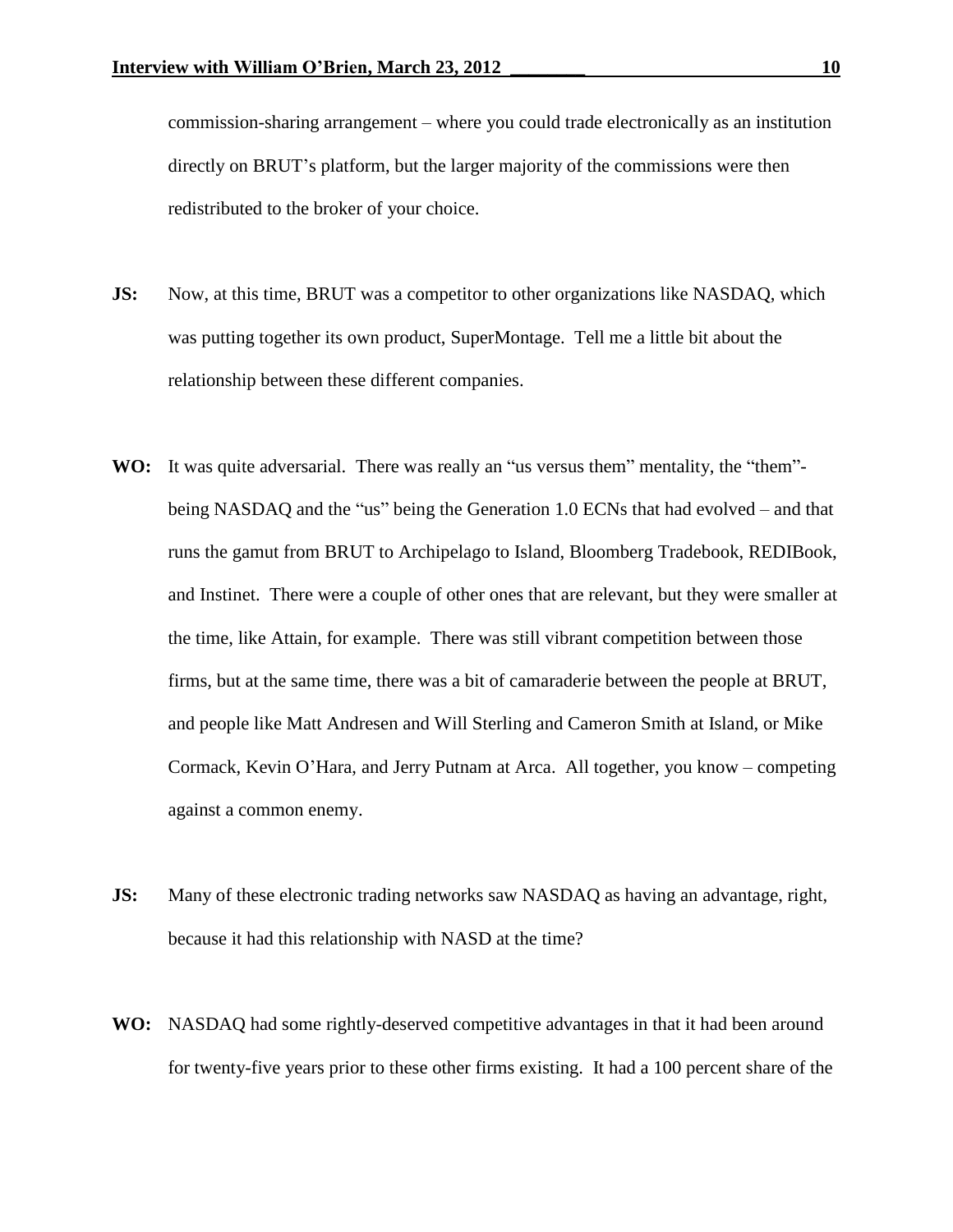commission-sharing arrangement – where you could trade electronically as an institution directly on BRUT's platform, but the larger majority of the commissions were then redistributed to the broker of your choice.

- **JS:** Now, at this time, BRUT was a competitor to other organizations like NASDAQ, which was putting together its own product, SuperMontage. Tell me a little bit about the relationship between these different companies.
- WO: It was quite adversarial. There was really an "us versus them" mentality, the "them"being NASDAQ and the "us" being the Generation 1.0 ECNs that had evolved – and that runs the gamut from BRUT to Archipelago to Island, Bloomberg Tradebook, REDIBook, and Instinet. There were a couple of other ones that are relevant, but they were smaller at the time, like Attain, for example. There was still vibrant competition between those firms, but at the same time, there was a bit of camaraderie between the people at BRUT, and people like Matt Andresen and Will Sterling and Cameron Smith at Island, or Mike Cormack, Kevin O'Hara, and Jerry Putnam at Arca. All together, you know – competing against a common enemy.
- **JS:** Many of these electronic trading networks saw NASDAQ as having an advantage, right, because it had this relationship with NASD at the time?
- **WO:** NASDAQ had some rightly-deserved competitive advantages in that it had been around for twenty-five years prior to these other firms existing. It had a 100 percent share of the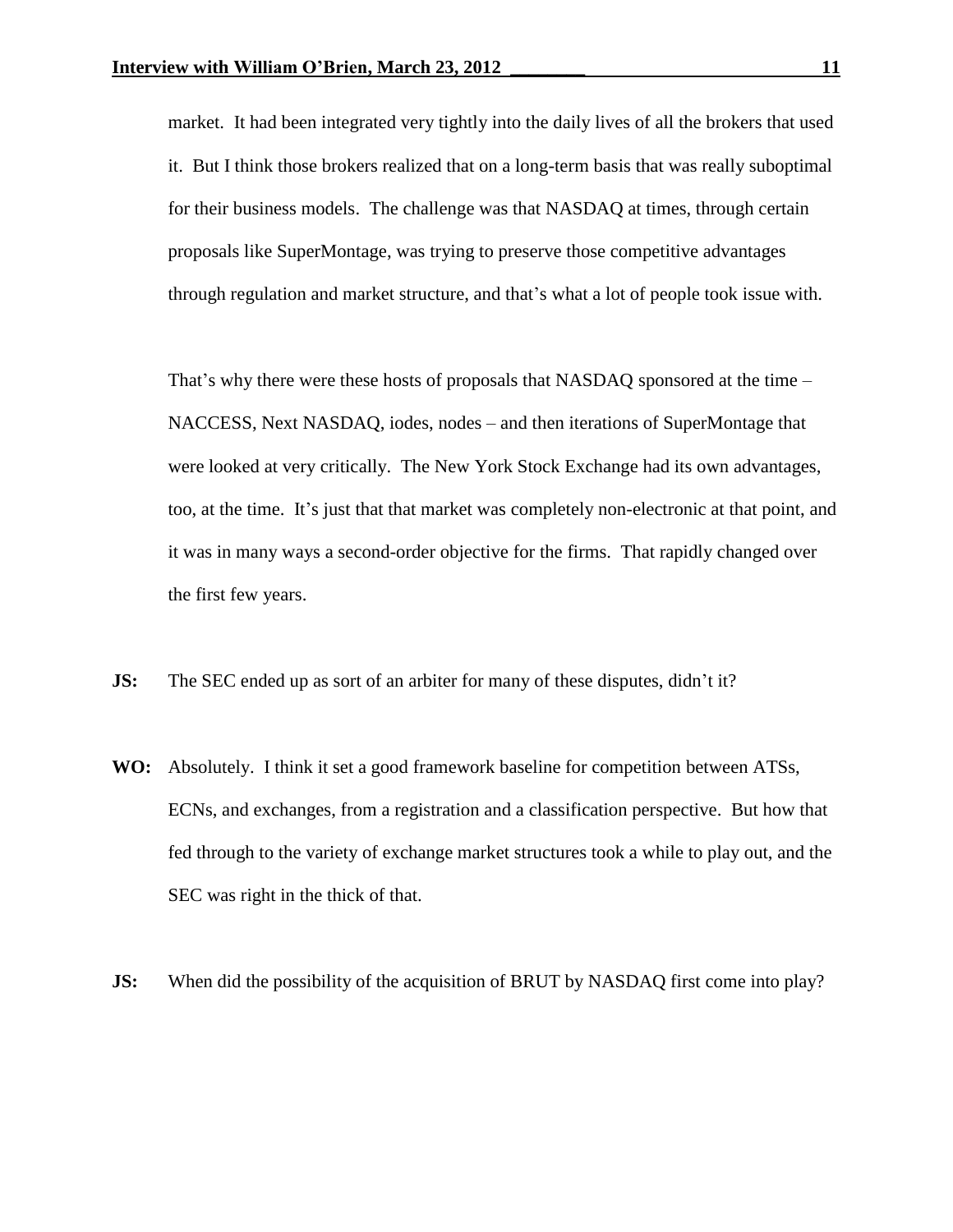market. It had been integrated very tightly into the daily lives of all the brokers that used it. But I think those brokers realized that on a long-term basis that was really suboptimal for their business models. The challenge was that NASDAQ at times, through certain proposals like SuperMontage, was trying to preserve those competitive advantages through regulation and market structure, and that's what a lot of people took issue with.

That's why there were these hosts of proposals that NASDAQ sponsored at the time – NACCESS, Next NASDAQ, iodes, nodes – and then iterations of SuperMontage that were looked at very critically. The New York Stock Exchange had its own advantages, too, at the time. It's just that that market was completely non-electronic at that point, and it was in many ways a second-order objective for the firms. That rapidly changed over the first few years.

- **JS:** The SEC ended up as sort of an arbiter for many of these disputes, didn't it?
- **WO:** Absolutely. I think it set a good framework baseline for competition between ATSs, ECNs, and exchanges, from a registration and a classification perspective. But how that fed through to the variety of exchange market structures took a while to play out, and the SEC was right in the thick of that.
- **JS:** When did the possibility of the acquisition of BRUT by NASDAQ first come into play?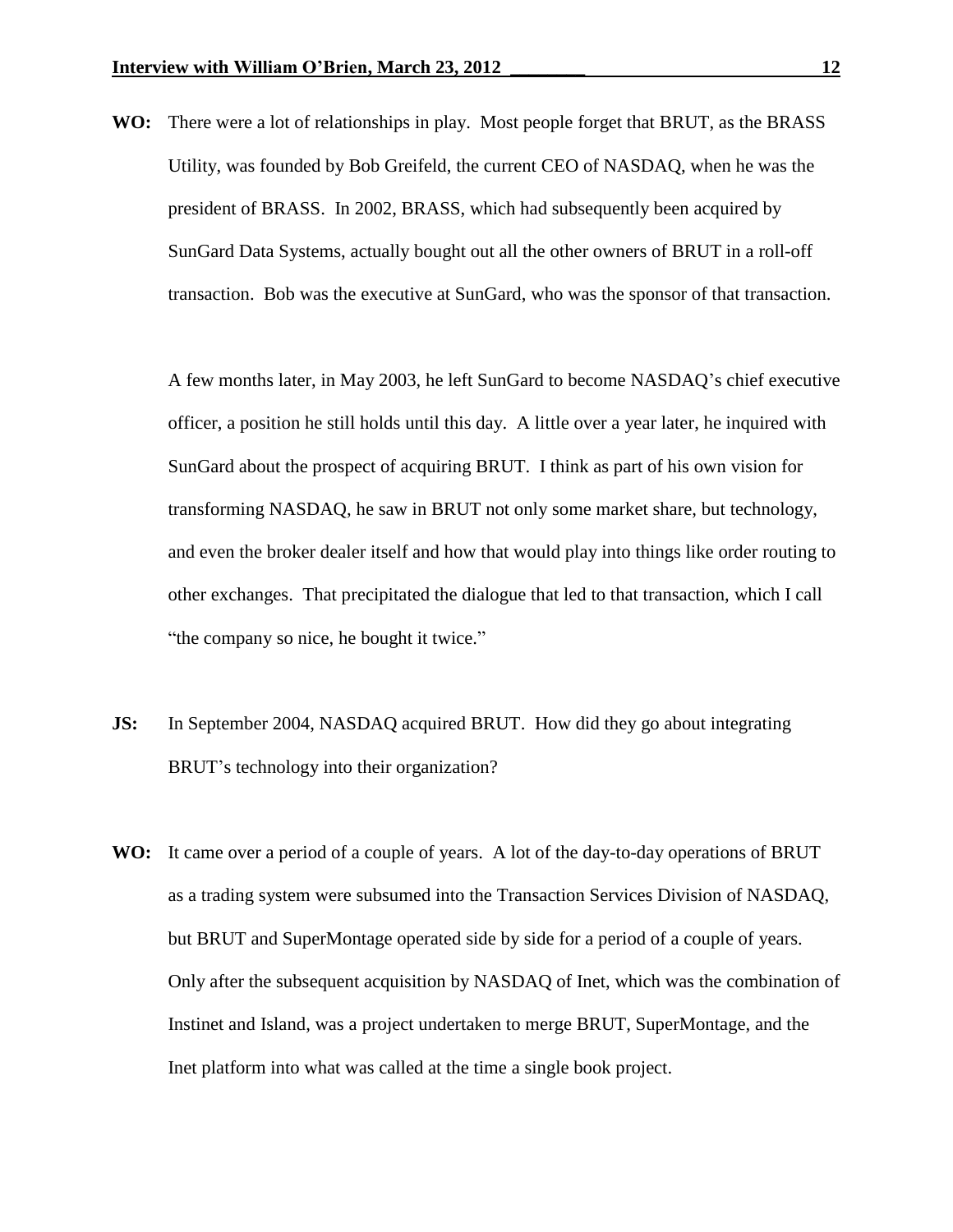**WO:** There were a lot of relationships in play. Most people forget that BRUT, as the BRASS Utility, was founded by Bob Greifeld, the current CEO of NASDAQ, when he was the president of BRASS. In 2002, BRASS, which had subsequently been acquired by SunGard Data Systems, actually bought out all the other owners of BRUT in a roll-off transaction. Bob was the executive at SunGard, who was the sponsor of that transaction.

A few months later, in May 2003, he left SunGard to become NASDAQ's chief executive officer, a position he still holds until this day. A little over a year later, he inquired with SunGard about the prospect of acquiring BRUT. I think as part of his own vision for transforming NASDAQ, he saw in BRUT not only some market share, but technology, and even the broker dealer itself and how that would play into things like order routing to other exchanges. That precipitated the dialogue that led to that transaction, which I call "the company so nice, he bought it twice."

- **JS:** In September 2004, NASDAQ acquired BRUT. How did they go about integrating BRUT's technology into their organization?
- **WO:** It came over a period of a couple of years. A lot of the day-to-day operations of BRUT as a trading system were subsumed into the Transaction Services Division of NASDAQ, but BRUT and SuperMontage operated side by side for a period of a couple of years. Only after the subsequent acquisition by NASDAQ of Inet, which was the combination of Instinet and Island, was a project undertaken to merge BRUT, SuperMontage, and the Inet platform into what was called at the time a single book project.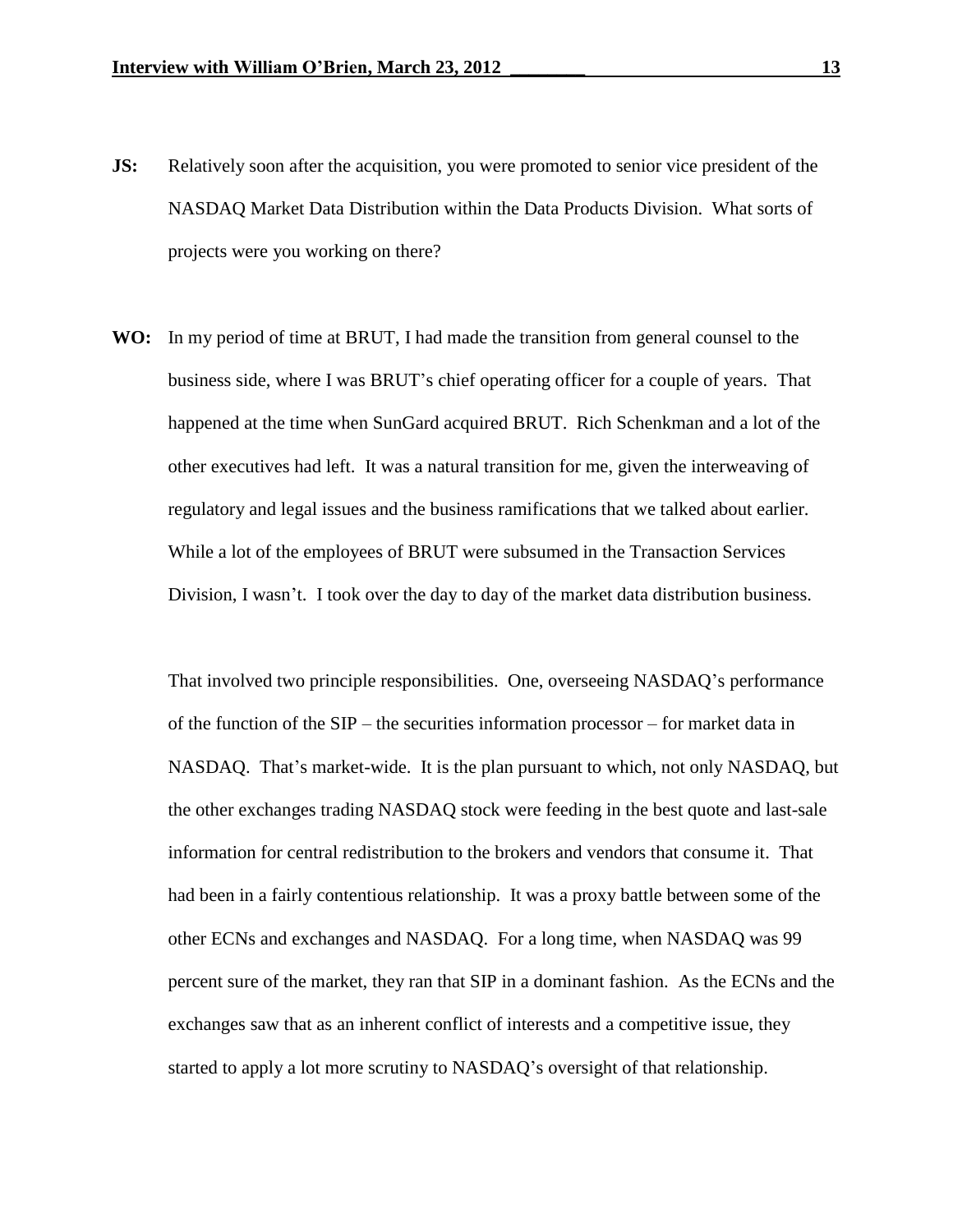- **JS:** Relatively soon after the acquisition, you were promoted to senior vice president of the NASDAQ Market Data Distribution within the Data Products Division. What sorts of projects were you working on there?
- **WO:** In my period of time at BRUT, I had made the transition from general counsel to the business side, where I was BRUT's chief operating officer for a couple of years. That happened at the time when SunGard acquired BRUT. Rich Schenkman and a lot of the other executives had left. It was a natural transition for me, given the interweaving of regulatory and legal issues and the business ramifications that we talked about earlier. While a lot of the employees of BRUT were subsumed in the Transaction Services Division, I wasn't. I took over the day to day of the market data distribution business.

That involved two principle responsibilities. One, overseeing NASDAQ's performance of the function of the SIP – the securities information processor – for market data in NASDAQ. That's market-wide. It is the plan pursuant to which, not only NASDAQ, but the other exchanges trading NASDAQ stock were feeding in the best quote and last-sale information for central redistribution to the brokers and vendors that consume it. That had been in a fairly contentious relationship. It was a proxy battle between some of the other ECNs and exchanges and NASDAQ. For a long time, when NASDAQ was 99 percent sure of the market, they ran that SIP in a dominant fashion. As the ECNs and the exchanges saw that as an inherent conflict of interests and a competitive issue, they started to apply a lot more scrutiny to NASDAQ's oversight of that relationship.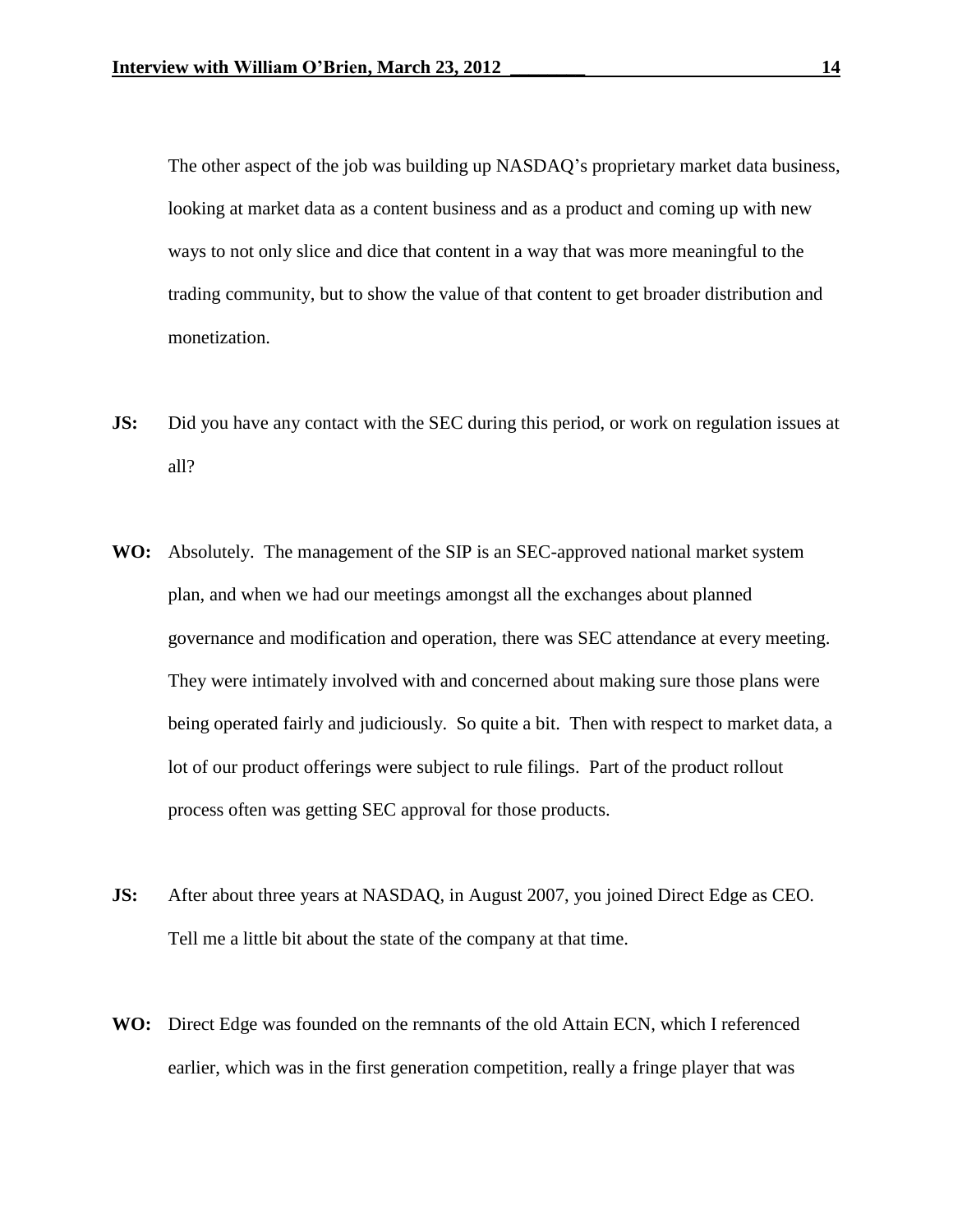The other aspect of the job was building up NASDAQ's proprietary market data business, looking at market data as a content business and as a product and coming up with new ways to not only slice and dice that content in a way that was more meaningful to the trading community, but to show the value of that content to get broader distribution and monetization.

- **JS:** Did you have any contact with the SEC during this period, or work on regulation issues at all?
- **WO:** Absolutely. The management of the SIP is an SEC-approved national market system plan, and when we had our meetings amongst all the exchanges about planned governance and modification and operation, there was SEC attendance at every meeting. They were intimately involved with and concerned about making sure those plans were being operated fairly and judiciously. So quite a bit. Then with respect to market data, a lot of our product offerings were subject to rule filings. Part of the product rollout process often was getting SEC approval for those products.
- **JS:** After about three years at NASDAQ, in August 2007, you joined Direct Edge as CEO. Tell me a little bit about the state of the company at that time.
- **WO:** Direct Edge was founded on the remnants of the old Attain ECN, which I referenced earlier, which was in the first generation competition, really a fringe player that was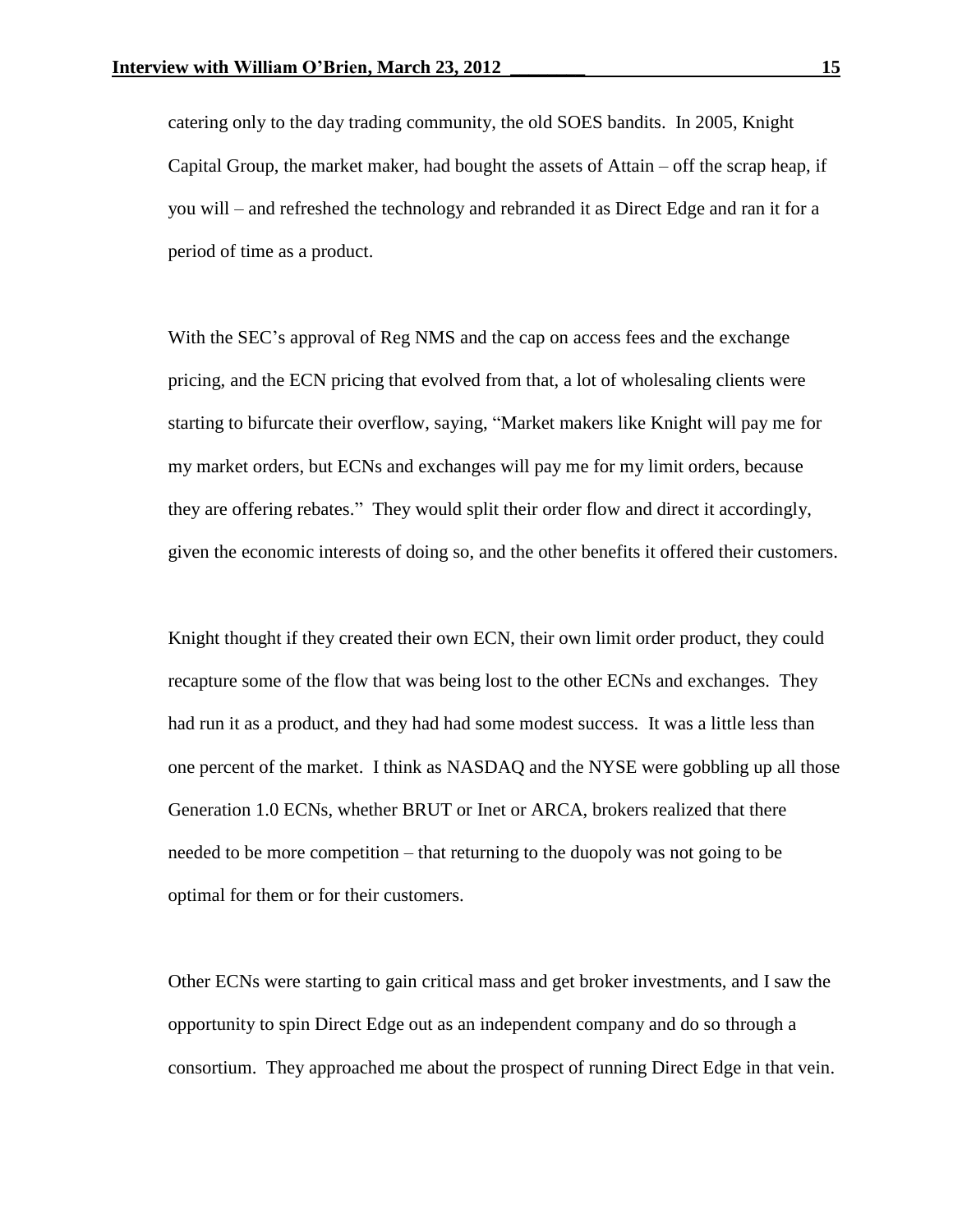catering only to the day trading community, the old SOES bandits. In 2005, Knight Capital Group, the market maker, had bought the assets of Attain – off the scrap heap, if you will – and refreshed the technology and rebranded it as Direct Edge and ran it for a period of time as a product.

With the SEC's approval of Reg NMS and the cap on access fees and the exchange pricing, and the ECN pricing that evolved from that, a lot of wholesaling clients were starting to bifurcate their overflow, saying, "Market makers like Knight will pay me for my market orders, but ECNs and exchanges will pay me for my limit orders, because they are offering rebates." They would split their order flow and direct it accordingly, given the economic interests of doing so, and the other benefits it offered their customers.

Knight thought if they created their own ECN, their own limit order product, they could recapture some of the flow that was being lost to the other ECNs and exchanges. They had run it as a product, and they had had some modest success. It was a little less than one percent of the market. I think as NASDAQ and the NYSE were gobbling up all those Generation 1.0 ECNs, whether BRUT or Inet or ARCA, brokers realized that there needed to be more competition – that returning to the duopoly was not going to be optimal for them or for their customers.

Other ECNs were starting to gain critical mass and get broker investments, and I saw the opportunity to spin Direct Edge out as an independent company and do so through a consortium. They approached me about the prospect of running Direct Edge in that vein.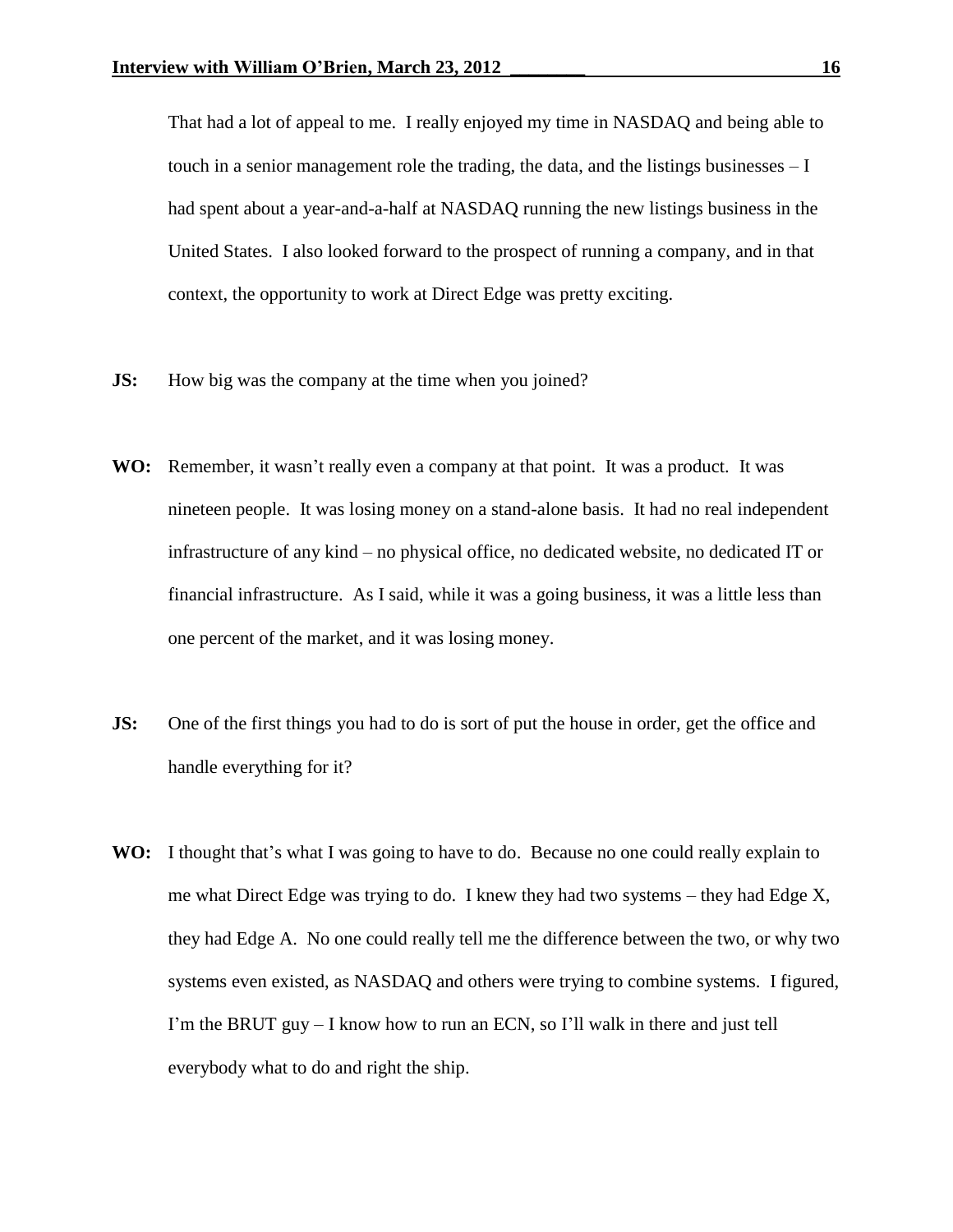That had a lot of appeal to me. I really enjoyed my time in NASDAQ and being able to touch in a senior management role the trading, the data, and the listings businesses – I had spent about a year-and-a-half at NASDAQ running the new listings business in the United States. I also looked forward to the prospect of running a company, and in that context, the opportunity to work at Direct Edge was pretty exciting.

- **JS:** How big was the company at the time when you joined?
- **WO:** Remember, it wasn't really even a company at that point. It was a product. It was nineteen people. It was losing money on a stand-alone basis. It had no real independent infrastructure of any kind – no physical office, no dedicated website, no dedicated IT or financial infrastructure. As I said, while it was a going business, it was a little less than one percent of the market, and it was losing money.
- **JS:** One of the first things you had to do is sort of put the house in order, get the office and handle everything for it?
- **WO:** I thought that's what I was going to have to do. Because no one could really explain to me what Direct Edge was trying to do. I knew they had two systems – they had Edge X, they had Edge A. No one could really tell me the difference between the two, or why two systems even existed, as NASDAQ and others were trying to combine systems. I figured, I'm the BRUT guy  $-$  I know how to run an ECN, so I'll walk in there and just tell everybody what to do and right the ship.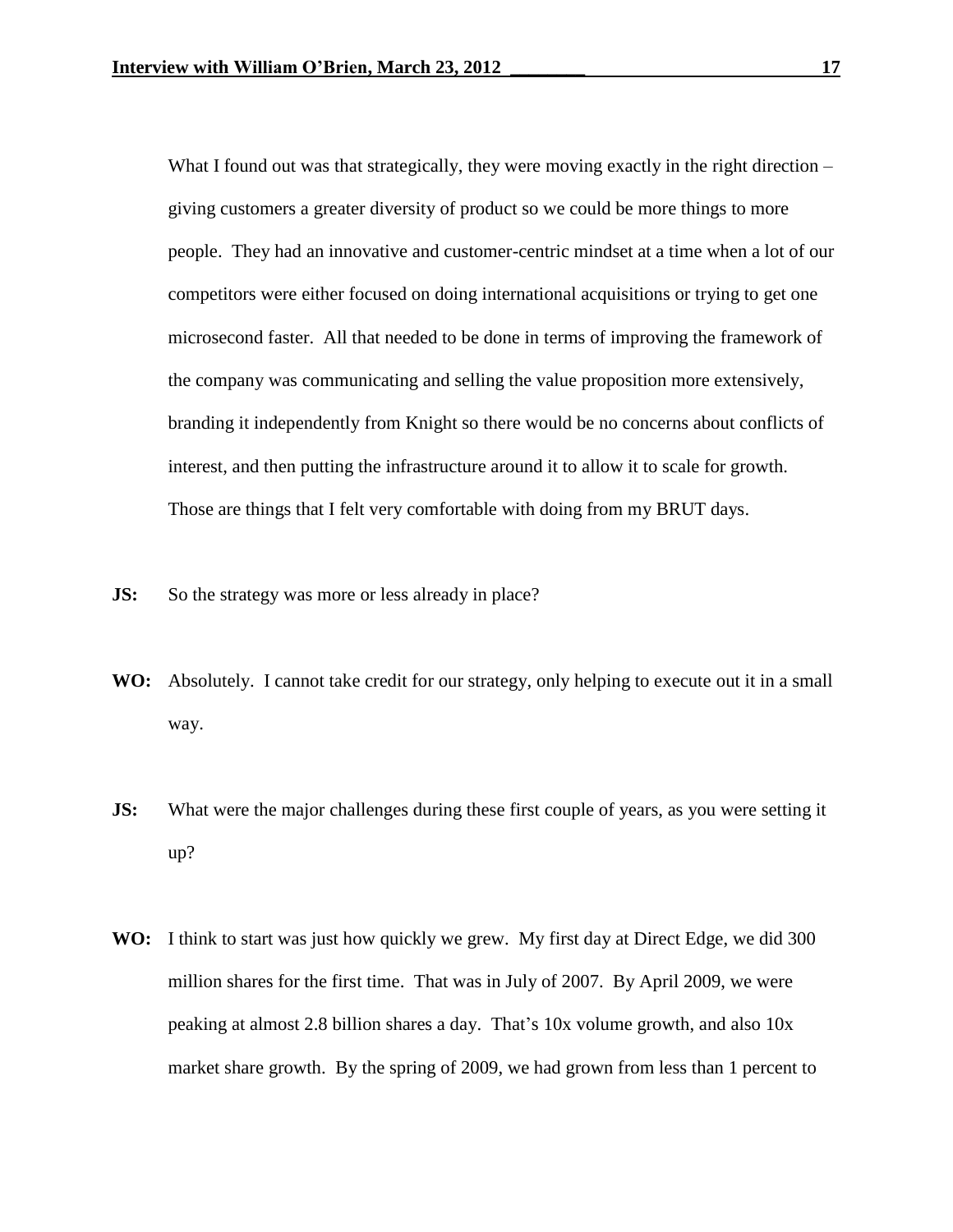What I found out was that strategically, they were moving exactly in the right direction – giving customers a greater diversity of product so we could be more things to more people. They had an innovative and customer-centric mindset at a time when a lot of our competitors were either focused on doing international acquisitions or trying to get one microsecond faster. All that needed to be done in terms of improving the framework of the company was communicating and selling the value proposition more extensively, branding it independently from Knight so there would be no concerns about conflicts of interest, and then putting the infrastructure around it to allow it to scale for growth. Those are things that I felt very comfortable with doing from my BRUT days.

- **JS:** So the strategy was more or less already in place?
- **WO:** Absolutely. I cannot take credit for our strategy, only helping to execute out it in a small way.
- **JS:** What were the major challenges during these first couple of years, as you were setting it up?
- **WO:** I think to start was just how quickly we grew. My first day at Direct Edge, we did 300 million shares for the first time. That was in July of 2007. By April 2009, we were peaking at almost 2.8 billion shares a day. That's 10x volume growth, and also 10x market share growth. By the spring of 2009, we had grown from less than 1 percent to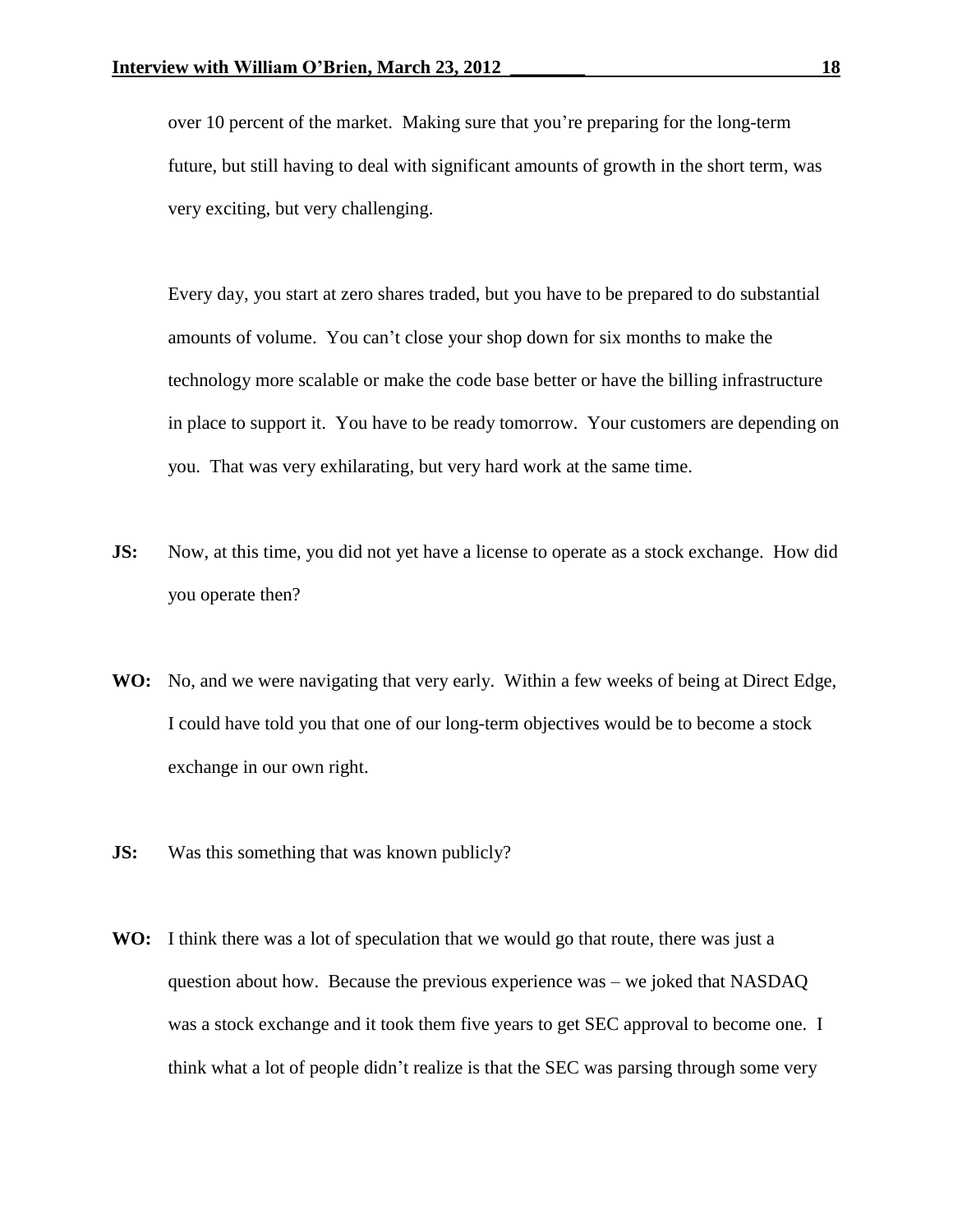over 10 percent of the market. Making sure that you're preparing for the long-term future, but still having to deal with significant amounts of growth in the short term, was very exciting, but very challenging.

Every day, you start at zero shares traded, but you have to be prepared to do substantial amounts of volume. You can't close your shop down for six months to make the technology more scalable or make the code base better or have the billing infrastructure in place to support it. You have to be ready tomorrow. Your customers are depending on you. That was very exhilarating, but very hard work at the same time.

- **JS:** Now, at this time, you did not yet have a license to operate as a stock exchange. How did you operate then?
- **WO:** No, and we were navigating that very early. Within a few weeks of being at Direct Edge, I could have told you that one of our long-term objectives would be to become a stock exchange in our own right.
- **JS:** Was this something that was known publicly?
- **WO:** I think there was a lot of speculation that we would go that route, there was just a question about how. Because the previous experience was – we joked that NASDAQ was a stock exchange and it took them five years to get SEC approval to become one. I think what a lot of people didn't realize is that the SEC was parsing through some very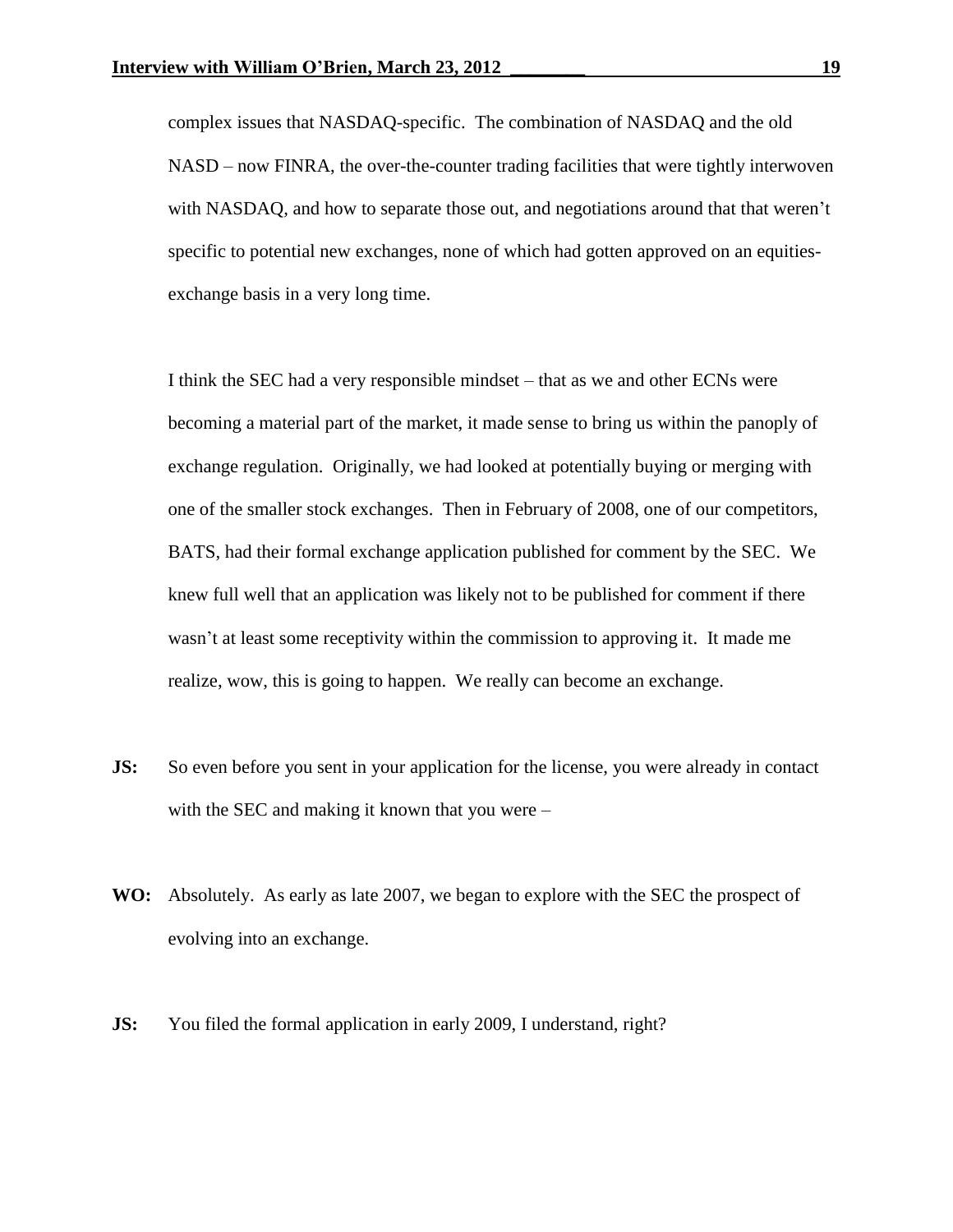complex issues that NASDAQ-specific. The combination of NASDAQ and the old NASD – now FINRA, the over-the-counter trading facilities that were tightly interwoven with NASDAQ, and how to separate those out, and negotiations around that that weren't specific to potential new exchanges, none of which had gotten approved on an equitiesexchange basis in a very long time.

I think the SEC had a very responsible mindset – that as we and other ECNs were becoming a material part of the market, it made sense to bring us within the panoply of exchange regulation. Originally, we had looked at potentially buying or merging with one of the smaller stock exchanges. Then in February of 2008, one of our competitors, BATS, had their formal exchange application published for comment by the SEC. We knew full well that an application was likely not to be published for comment if there wasn't at least some receptivity within the commission to approving it. It made me realize, wow, this is going to happen. We really can become an exchange.

- **JS:** So even before you sent in your application for the license, you were already in contact with the SEC and making it known that you were –
- **WO:** Absolutely. As early as late 2007, we began to explore with the SEC the prospect of evolving into an exchange.
- **JS:** You filed the formal application in early 2009, I understand, right?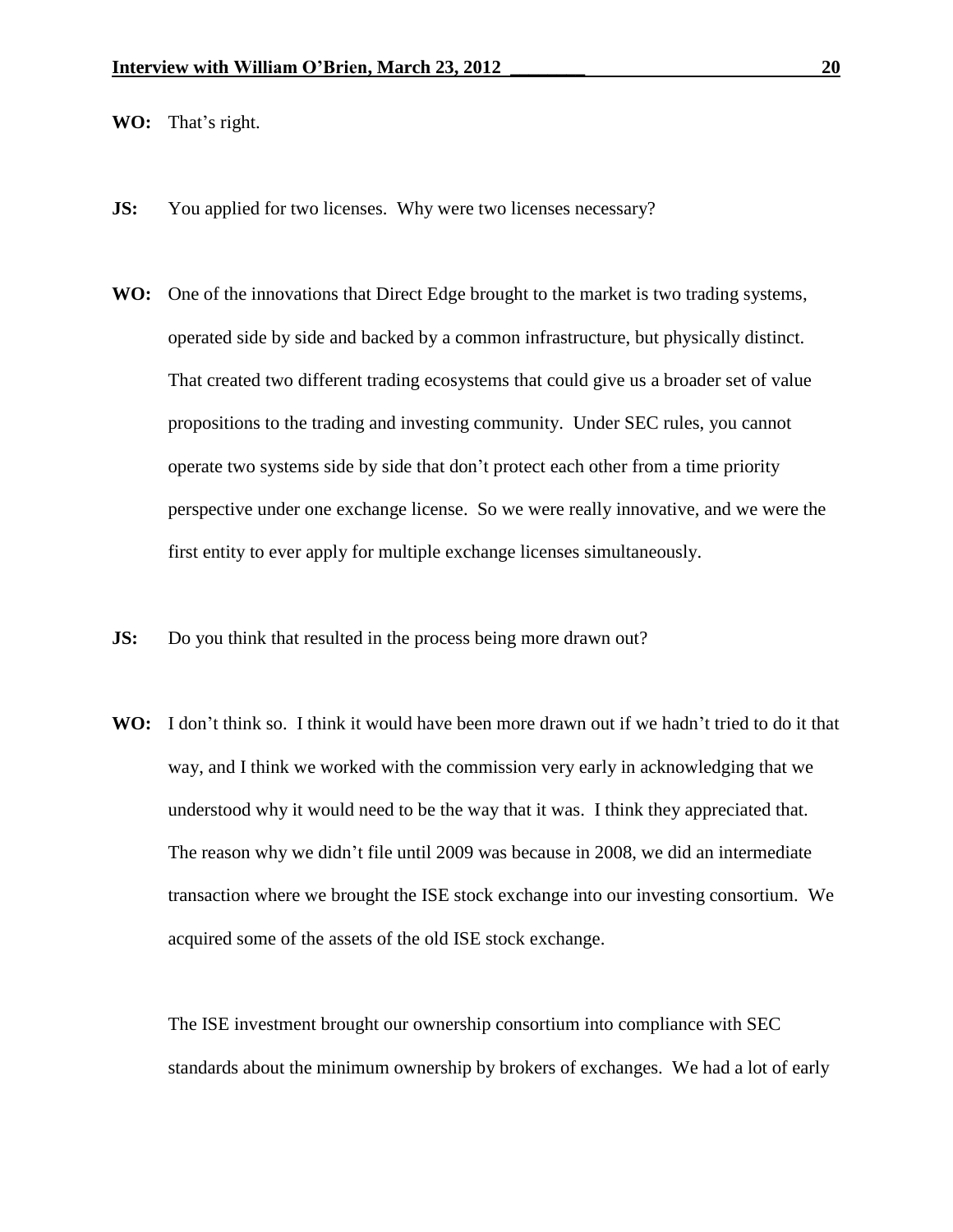**WO:** That's right.

- **JS:** You applied for two licenses. Why were two licenses necessary?
- **WO:** One of the innovations that Direct Edge brought to the market is two trading systems, operated side by side and backed by a common infrastructure, but physically distinct. That created two different trading ecosystems that could give us a broader set of value propositions to the trading and investing community. Under SEC rules, you cannot operate two systems side by side that don't protect each other from a time priority perspective under one exchange license. So we were really innovative, and we were the first entity to ever apply for multiple exchange licenses simultaneously.
- **JS:** Do you think that resulted in the process being more drawn out?
- **WO:** I don't think so. I think it would have been more drawn out if we hadn't tried to do it that way, and I think we worked with the commission very early in acknowledging that we understood why it would need to be the way that it was. I think they appreciated that. The reason why we didn't file until 2009 was because in 2008, we did an intermediate transaction where we brought the ISE stock exchange into our investing consortium. We acquired some of the assets of the old ISE stock exchange.

The ISE investment brought our ownership consortium into compliance with SEC standards about the minimum ownership by brokers of exchanges. We had a lot of early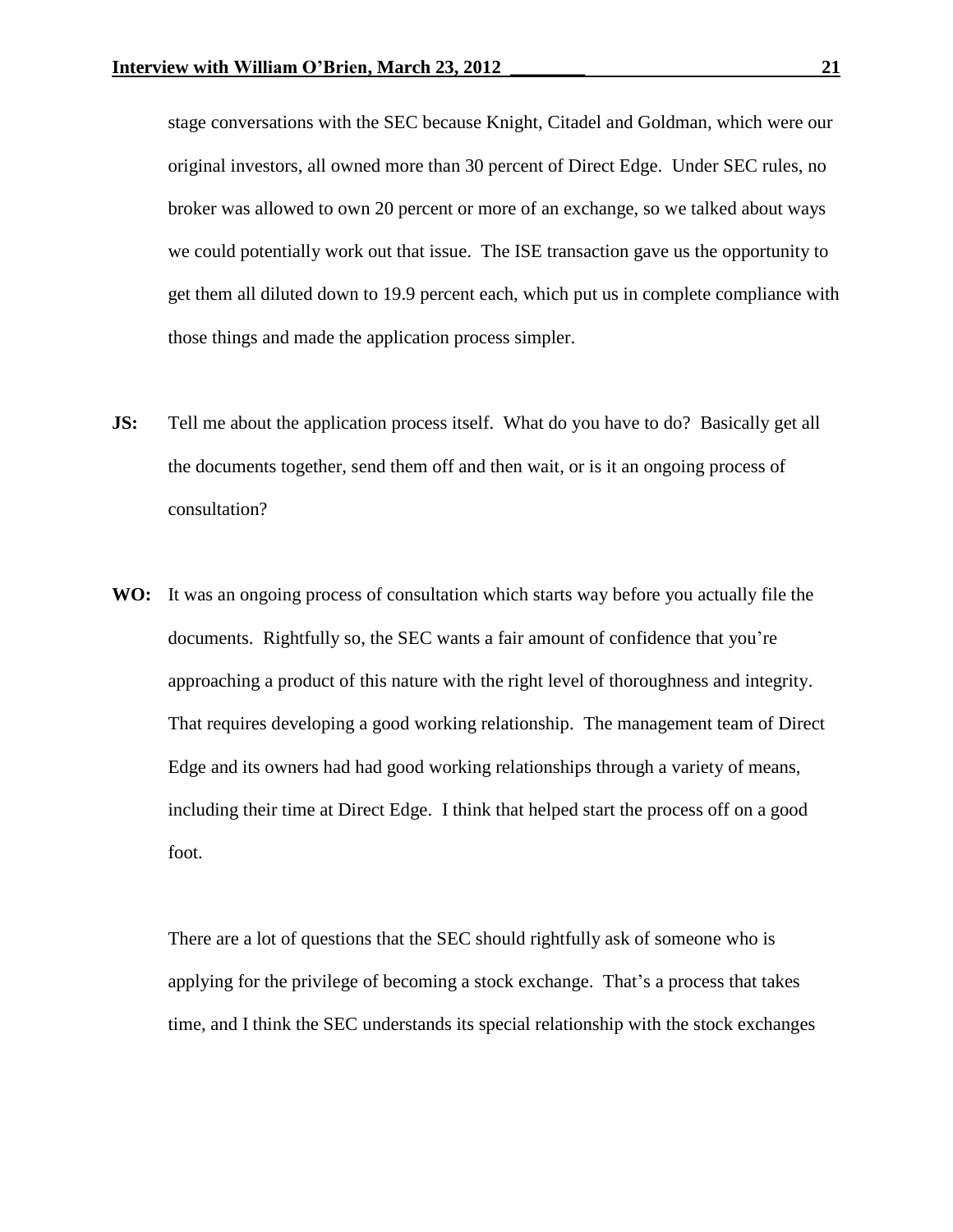stage conversations with the SEC because Knight, Citadel and Goldman, which were our original investors, all owned more than 30 percent of Direct Edge. Under SEC rules, no broker was allowed to own 20 percent or more of an exchange, so we talked about ways we could potentially work out that issue. The ISE transaction gave us the opportunity to get them all diluted down to 19.9 percent each, which put us in complete compliance with those things and made the application process simpler.

- **JS:** Tell me about the application process itself. What do you have to do? Basically get all the documents together, send them off and then wait, or is it an ongoing process of consultation?
- **WO:** It was an ongoing process of consultation which starts way before you actually file the documents. Rightfully so, the SEC wants a fair amount of confidence that you're approaching a product of this nature with the right level of thoroughness and integrity. That requires developing a good working relationship. The management team of Direct Edge and its owners had had good working relationships through a variety of means, including their time at Direct Edge. I think that helped start the process off on a good foot.

There are a lot of questions that the SEC should rightfully ask of someone who is applying for the privilege of becoming a stock exchange. That's a process that takes time, and I think the SEC understands its special relationship with the stock exchanges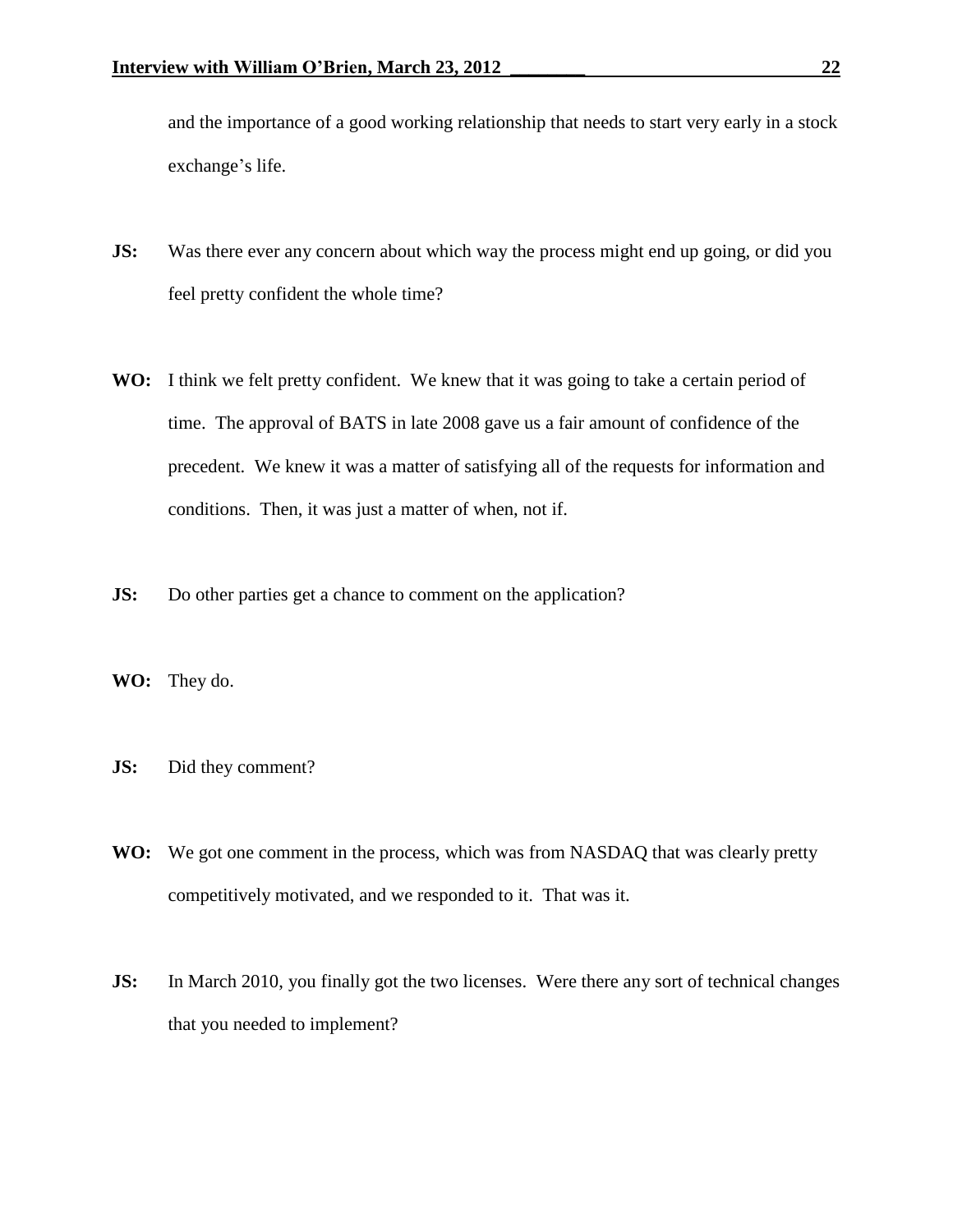and the importance of a good working relationship that needs to start very early in a stock exchange's life.

- **JS:** Was there ever any concern about which way the process might end up going, or did you feel pretty confident the whole time?
- **WO:** I think we felt pretty confident. We knew that it was going to take a certain period of time. The approval of BATS in late 2008 gave us a fair amount of confidence of the precedent. We knew it was a matter of satisfying all of the requests for information and conditions. Then, it was just a matter of when, not if.
- **JS:** Do other parties get a chance to comment on the application?
- **WO:** They do.
- **JS:** Did they comment?
- **WO:** We got one comment in the process, which was from NASDAQ that was clearly pretty competitively motivated, and we responded to it. That was it.
- **JS:** In March 2010, you finally got the two licenses. Were there any sort of technical changes that you needed to implement?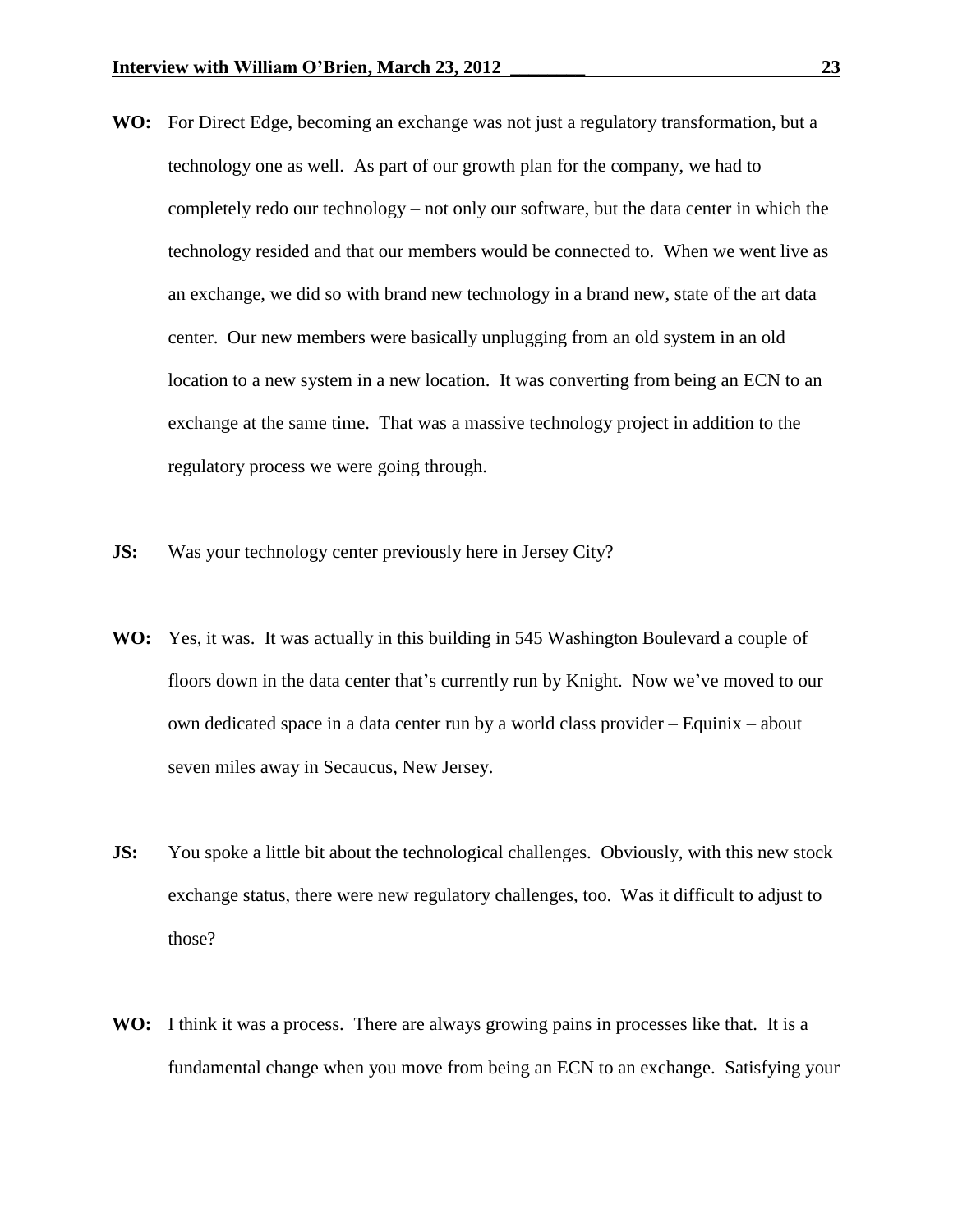- **WO:** For Direct Edge, becoming an exchange was not just a regulatory transformation, but a technology one as well. As part of our growth plan for the company, we had to completely redo our technology – not only our software, but the data center in which the technology resided and that our members would be connected to. When we went live as an exchange, we did so with brand new technology in a brand new, state of the art data center. Our new members were basically unplugging from an old system in an old location to a new system in a new location. It was converting from being an ECN to an exchange at the same time. That was a massive technology project in addition to the regulatory process we were going through.
- **JS:** Was your technology center previously here in Jersey City?
- **WO:** Yes, it was. It was actually in this building in 545 Washington Boulevard a couple of floors down in the data center that's currently run by Knight. Now we've moved to our own dedicated space in a data center run by a world class provider – Equinix – about seven miles away in Secaucus, New Jersey.
- **JS:** You spoke a little bit about the technological challenges. Obviously, with this new stock exchange status, there were new regulatory challenges, too. Was it difficult to adjust to those?
- **WO:** I think it was a process. There are always growing pains in processes like that. It is a fundamental change when you move from being an ECN to an exchange. Satisfying your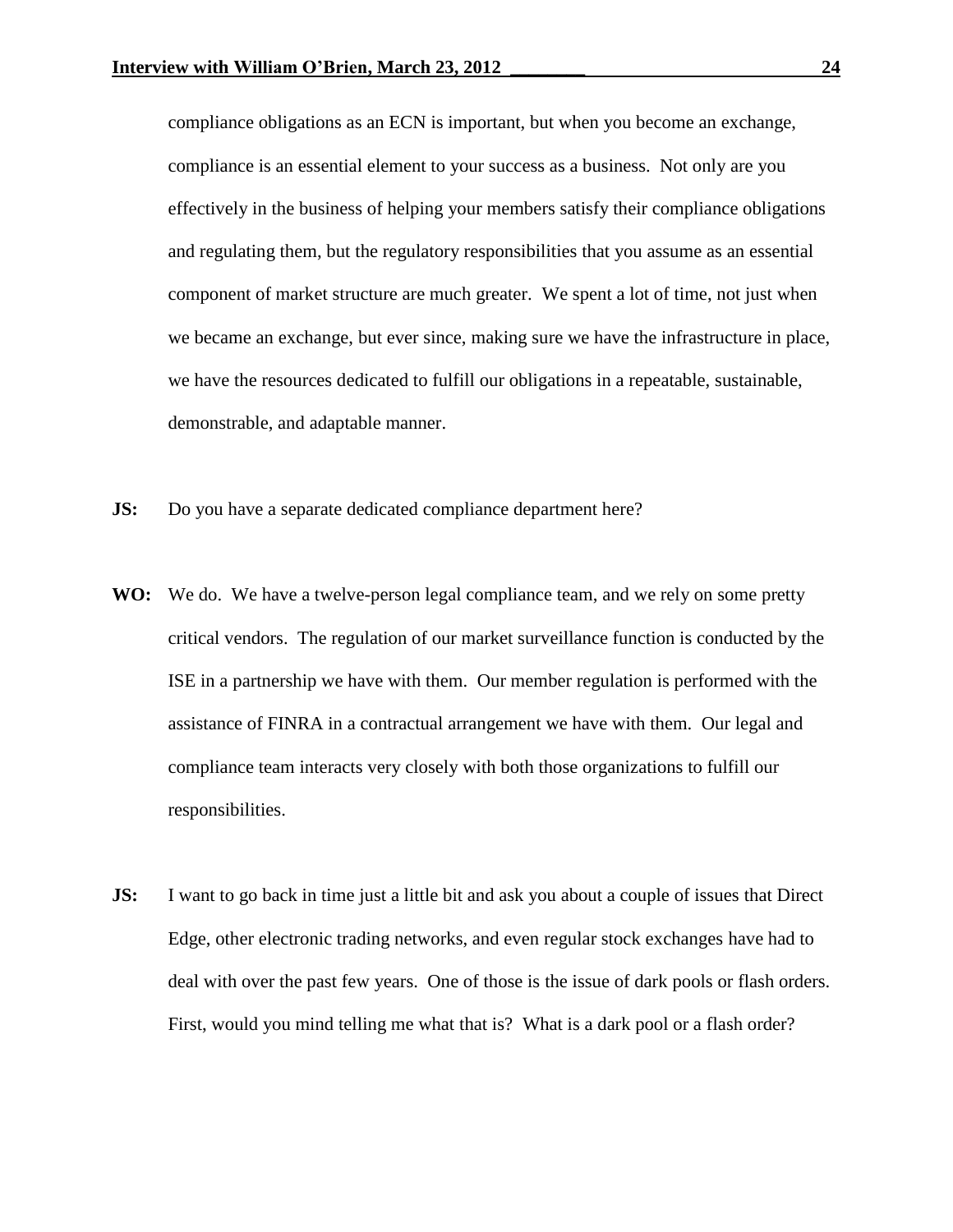compliance obligations as an ECN is important, but when you become an exchange, compliance is an essential element to your success as a business. Not only are you effectively in the business of helping your members satisfy their compliance obligations and regulating them, but the regulatory responsibilities that you assume as an essential component of market structure are much greater. We spent a lot of time, not just when we became an exchange, but ever since, making sure we have the infrastructure in place, we have the resources dedicated to fulfill our obligations in a repeatable, sustainable, demonstrable, and adaptable manner.

- **JS:** Do you have a separate dedicated compliance department here?
- **WO:** We do. We have a twelve-person legal compliance team, and we rely on some pretty critical vendors. The regulation of our market surveillance function is conducted by the ISE in a partnership we have with them. Our member regulation is performed with the assistance of FINRA in a contractual arrangement we have with them. Our legal and compliance team interacts very closely with both those organizations to fulfill our responsibilities.
- **JS:** I want to go back in time just a little bit and ask you about a couple of issues that Direct Edge, other electronic trading networks, and even regular stock exchanges have had to deal with over the past few years. One of those is the issue of dark pools or flash orders. First, would you mind telling me what that is? What is a dark pool or a flash order?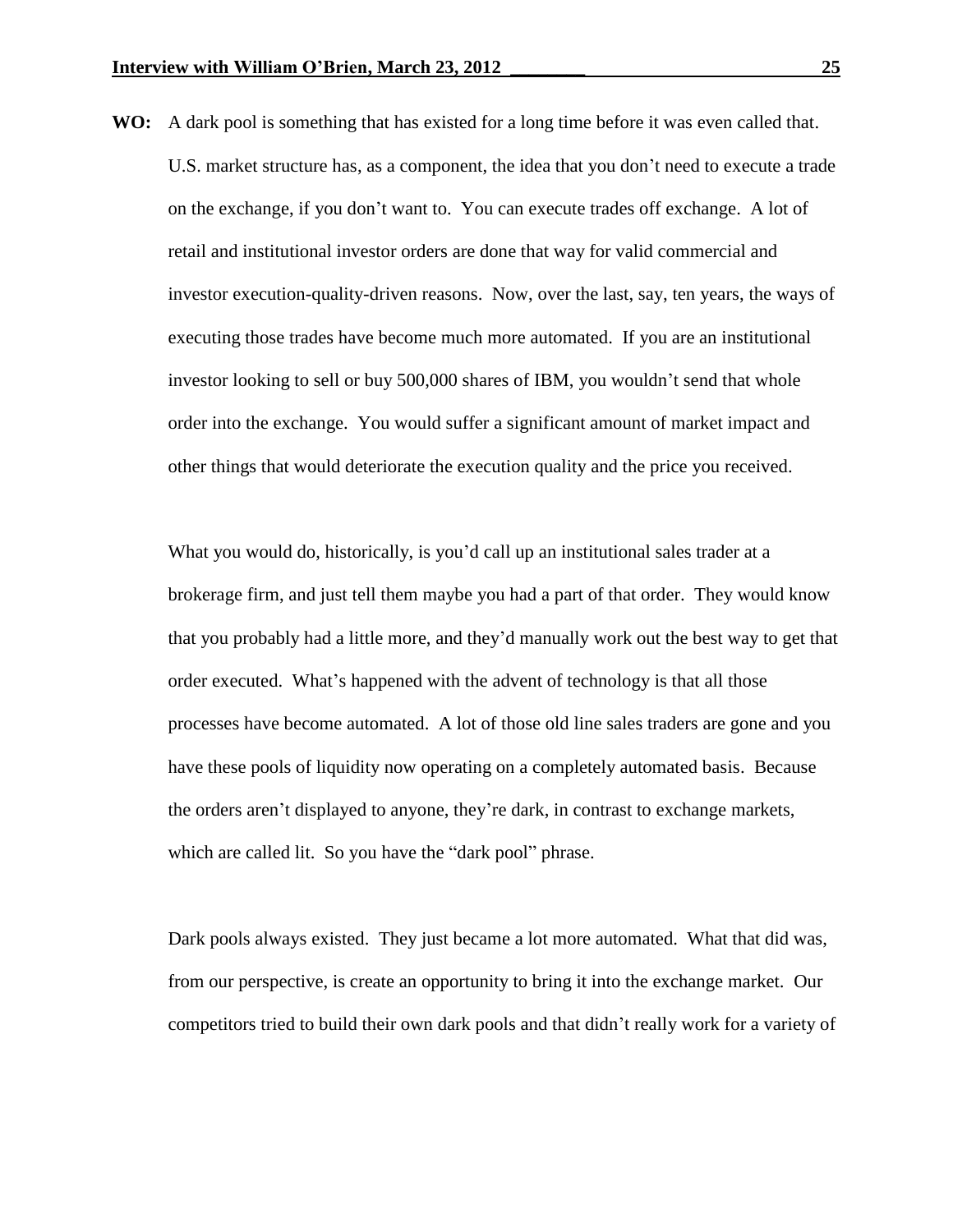**WO:** A dark pool is something that has existed for a long time before it was even called that. U.S. market structure has, as a component, the idea that you don't need to execute a trade on the exchange, if you don't want to. You can execute trades off exchange. A lot of retail and institutional investor orders are done that way for valid commercial and investor execution-quality-driven reasons. Now, over the last, say, ten years, the ways of executing those trades have become much more automated. If you are an institutional investor looking to sell or buy 500,000 shares of IBM, you wouldn't send that whole order into the exchange. You would suffer a significant amount of market impact and other things that would deteriorate the execution quality and the price you received.

What you would do, historically, is you'd call up an institutional sales trader at a brokerage firm, and just tell them maybe you had a part of that order. They would know that you probably had a little more, and they'd manually work out the best way to get that order executed. What's happened with the advent of technology is that all those processes have become automated. A lot of those old line sales traders are gone and you have these pools of liquidity now operating on a completely automated basis. Because the orders aren't displayed to anyone, they're dark, in contrast to exchange markets, which are called lit. So you have the "dark pool" phrase.

Dark pools always existed. They just became a lot more automated. What that did was, from our perspective, is create an opportunity to bring it into the exchange market. Our competitors tried to build their own dark pools and that didn't really work for a variety of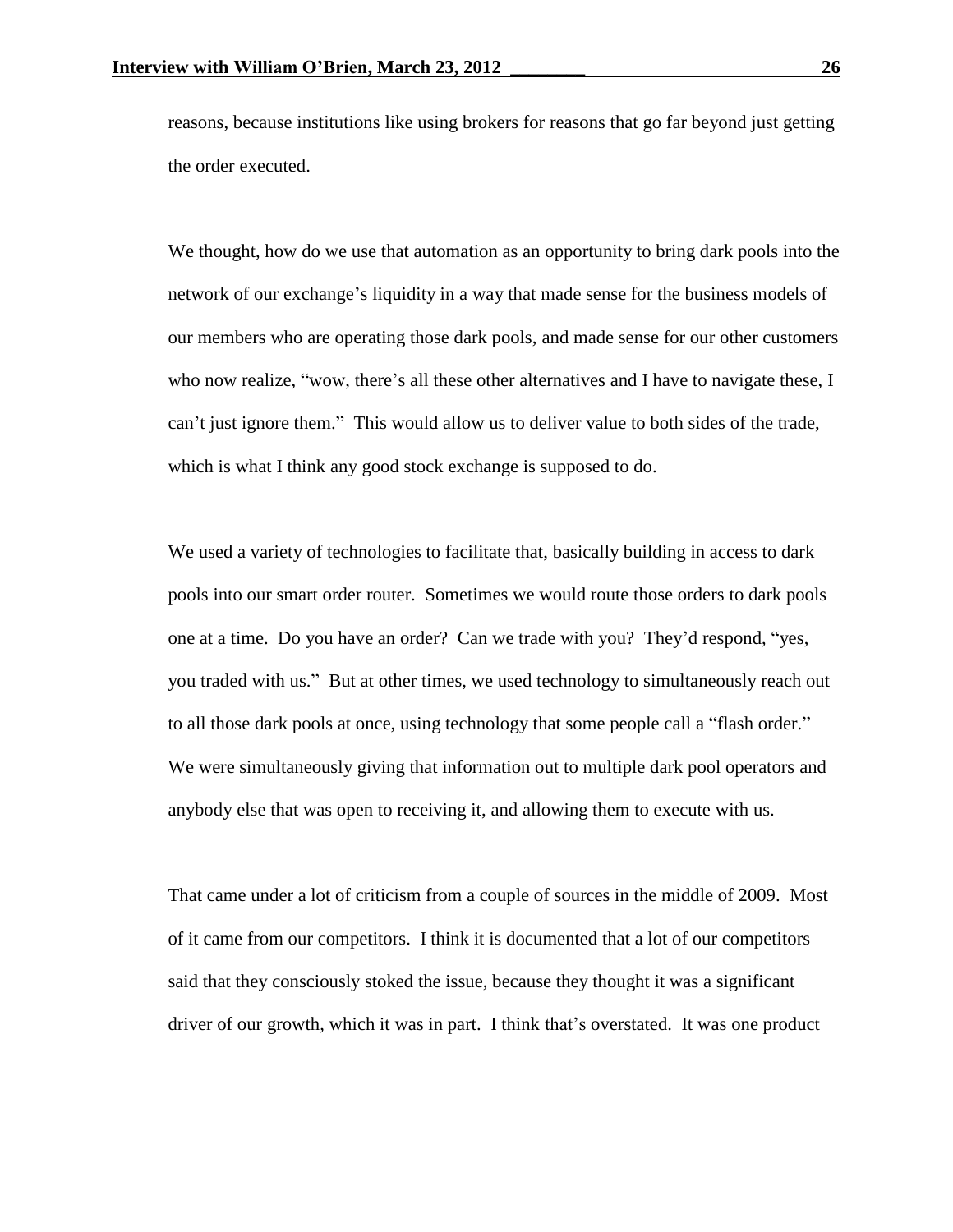reasons, because institutions like using brokers for reasons that go far beyond just getting the order executed.

We thought, how do we use that automation as an opportunity to bring dark pools into the network of our exchange's liquidity in a way that made sense for the business models of our members who are operating those dark pools, and made sense for our other customers who now realize, "wow, there's all these other alternatives and I have to navigate these, I can't just ignore them." This would allow us to deliver value to both sides of the trade, which is what I think any good stock exchange is supposed to do.

We used a variety of technologies to facilitate that, basically building in access to dark pools into our smart order router. Sometimes we would route those orders to dark pools one at a time. Do you have an order? Can we trade with you? They'd respond, "yes, you traded with us." But at other times, we used technology to simultaneously reach out to all those dark pools at once, using technology that some people call a "flash order." We were simultaneously giving that information out to multiple dark pool operators and anybody else that was open to receiving it, and allowing them to execute with us.

That came under a lot of criticism from a couple of sources in the middle of 2009. Most of it came from our competitors. I think it is documented that a lot of our competitors said that they consciously stoked the issue, because they thought it was a significant driver of our growth, which it was in part. I think that's overstated. It was one product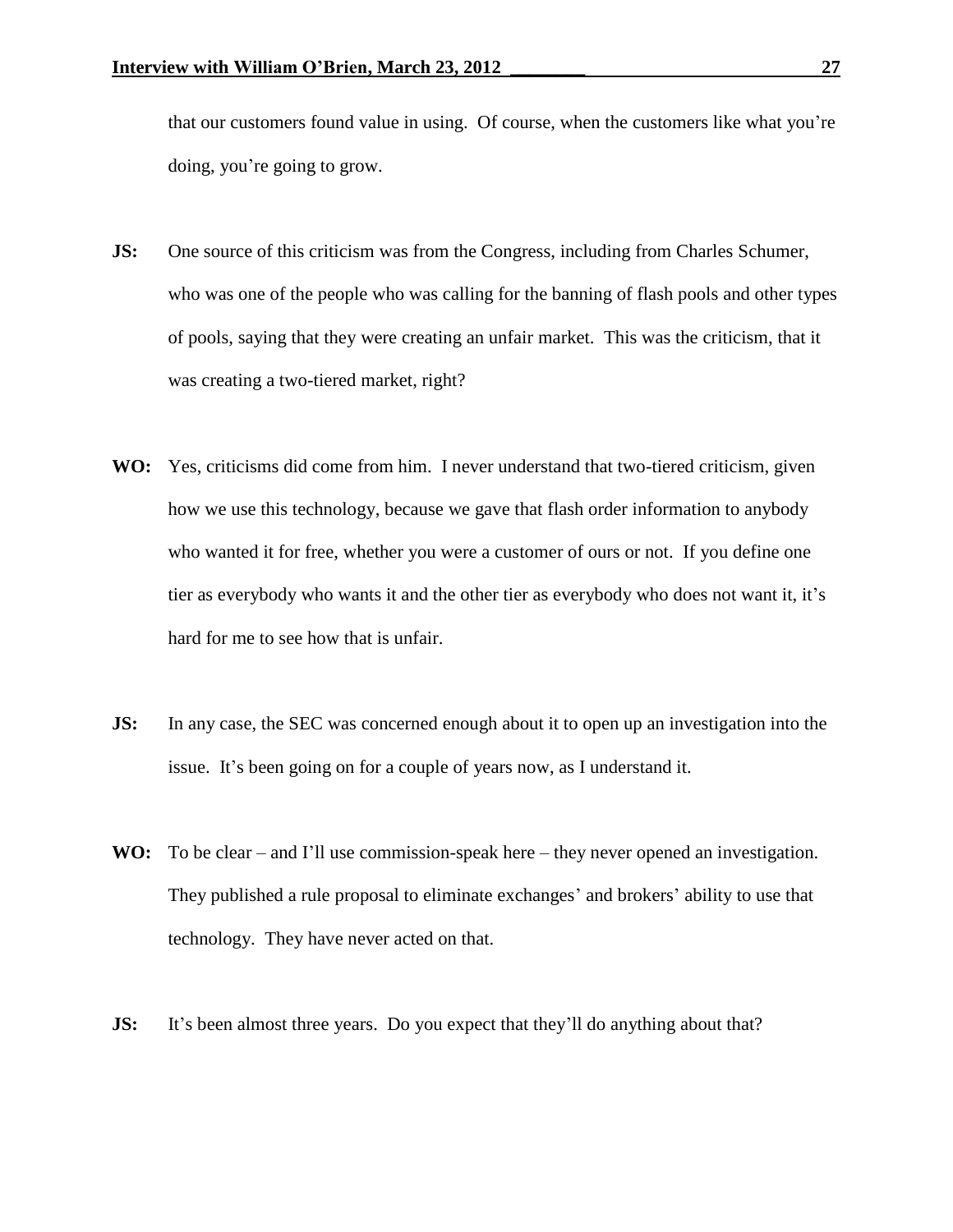that our customers found value in using. Of course, when the customers like what you're doing, you're going to grow.

- **JS:** One source of this criticism was from the Congress, including from Charles Schumer, who was one of the people who was calling for the banning of flash pools and other types of pools, saying that they were creating an unfair market. This was the criticism, that it was creating a two-tiered market, right?
- **WO:** Yes, criticisms did come from him. I never understand that two-tiered criticism, given how we use this technology, because we gave that flash order information to anybody who wanted it for free, whether you were a customer of ours or not. If you define one tier as everybody who wants it and the other tier as everybody who does not want it, it's hard for me to see how that is unfair.
- **JS:** In any case, the SEC was concerned enough about it to open up an investigation into the issue. It's been going on for a couple of years now, as I understand it.
- WO: To be clear and I'll use commission-speak here they never opened an investigation. They published a rule proposal to eliminate exchanges' and brokers' ability to use that technology. They have never acted on that.
- **JS:** It's been almost three years. Do you expect that they'll do anything about that?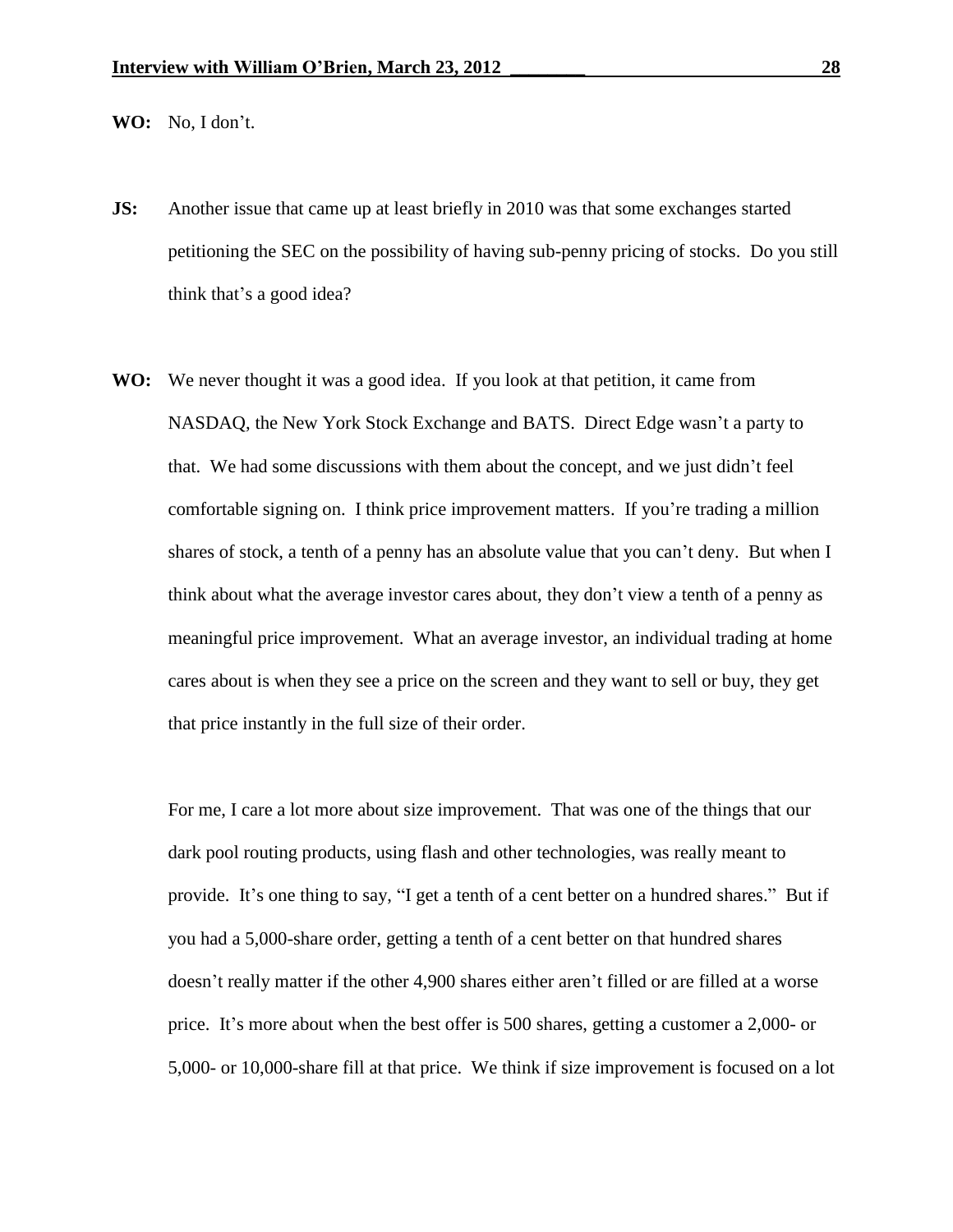**WO:** No, I don't.

- **JS:** Another issue that came up at least briefly in 2010 was that some exchanges started petitioning the SEC on the possibility of having sub-penny pricing of stocks. Do you still think that's a good idea?
- **WO:** We never thought it was a good idea. If you look at that petition, it came from NASDAQ, the New York Stock Exchange and BATS. Direct Edge wasn't a party to that. We had some discussions with them about the concept, and we just didn't feel comfortable signing on. I think price improvement matters. If you're trading a million shares of stock, a tenth of a penny has an absolute value that you can't deny. But when I think about what the average investor cares about, they don't view a tenth of a penny as meaningful price improvement. What an average investor, an individual trading at home cares about is when they see a price on the screen and they want to sell or buy, they get that price instantly in the full size of their order.

For me, I care a lot more about size improvement. That was one of the things that our dark pool routing products, using flash and other technologies, was really meant to provide. It's one thing to say, "I get a tenth of a cent better on a hundred shares." But if you had a 5,000-share order, getting a tenth of a cent better on that hundred shares doesn't really matter if the other 4,900 shares either aren't filled or are filled at a worse price. It's more about when the best offer is 500 shares, getting a customer a 2,000- or 5,000- or 10,000-share fill at that price. We think if size improvement is focused on a lot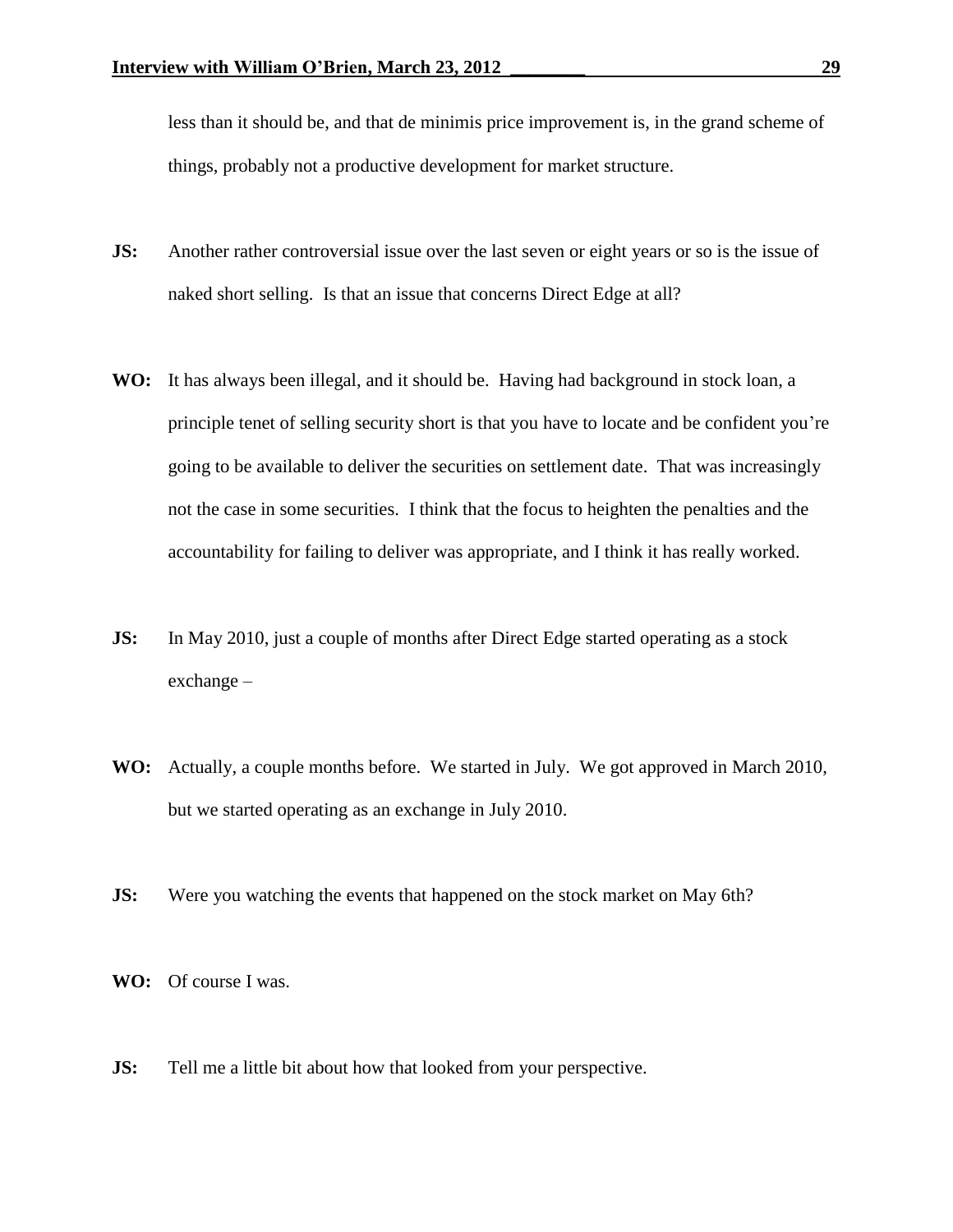less than it should be, and that de minimis price improvement is, in the grand scheme of things, probably not a productive development for market structure.

- **JS:** Another rather controversial issue over the last seven or eight years or so is the issue of naked short selling. Is that an issue that concerns Direct Edge at all?
- **WO:** It has always been illegal, and it should be. Having had background in stock loan, a principle tenet of selling security short is that you have to locate and be confident you're going to be available to deliver the securities on settlement date. That was increasingly not the case in some securities. I think that the focus to heighten the penalties and the accountability for failing to deliver was appropriate, and I think it has really worked.
- **JS:** In May 2010, just a couple of months after Direct Edge started operating as a stock exchange –
- **WO:** Actually, a couple months before. We started in July. We got approved in March 2010, but we started operating as an exchange in July 2010.
- **JS:** Were you watching the events that happened on the stock market on May 6th?
- **WO:** Of course I was.
- **JS:** Tell me a little bit about how that looked from your perspective.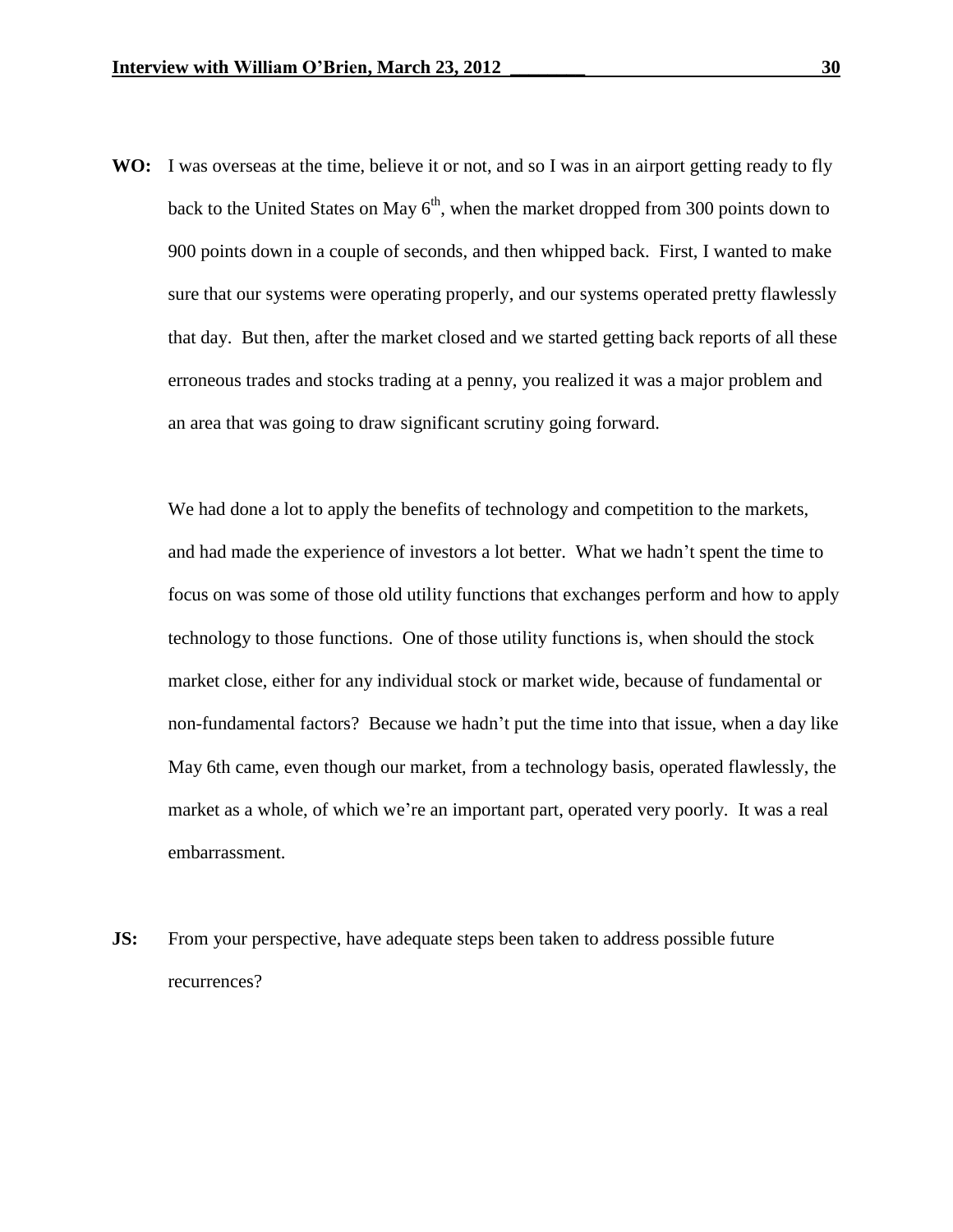**WO:** I was overseas at the time, believe it or not, and so I was in an airport getting ready to fly back to the United States on May  $6<sup>th</sup>$ , when the market dropped from 300 points down to 900 points down in a couple of seconds, and then whipped back. First, I wanted to make sure that our systems were operating properly, and our systems operated pretty flawlessly that day. But then, after the market closed and we started getting back reports of all these erroneous trades and stocks trading at a penny, you realized it was a major problem and an area that was going to draw significant scrutiny going forward.

We had done a lot to apply the benefits of technology and competition to the markets, and had made the experience of investors a lot better. What we hadn't spent the time to focus on was some of those old utility functions that exchanges perform and how to apply technology to those functions. One of those utility functions is, when should the stock market close, either for any individual stock or market wide, because of fundamental or non-fundamental factors? Because we hadn't put the time into that issue, when a day like May 6th came, even though our market, from a technology basis, operated flawlessly, the market as a whole, of which we're an important part, operated very poorly. It was a real embarrassment.

**JS:** From your perspective, have adequate steps been taken to address possible future recurrences?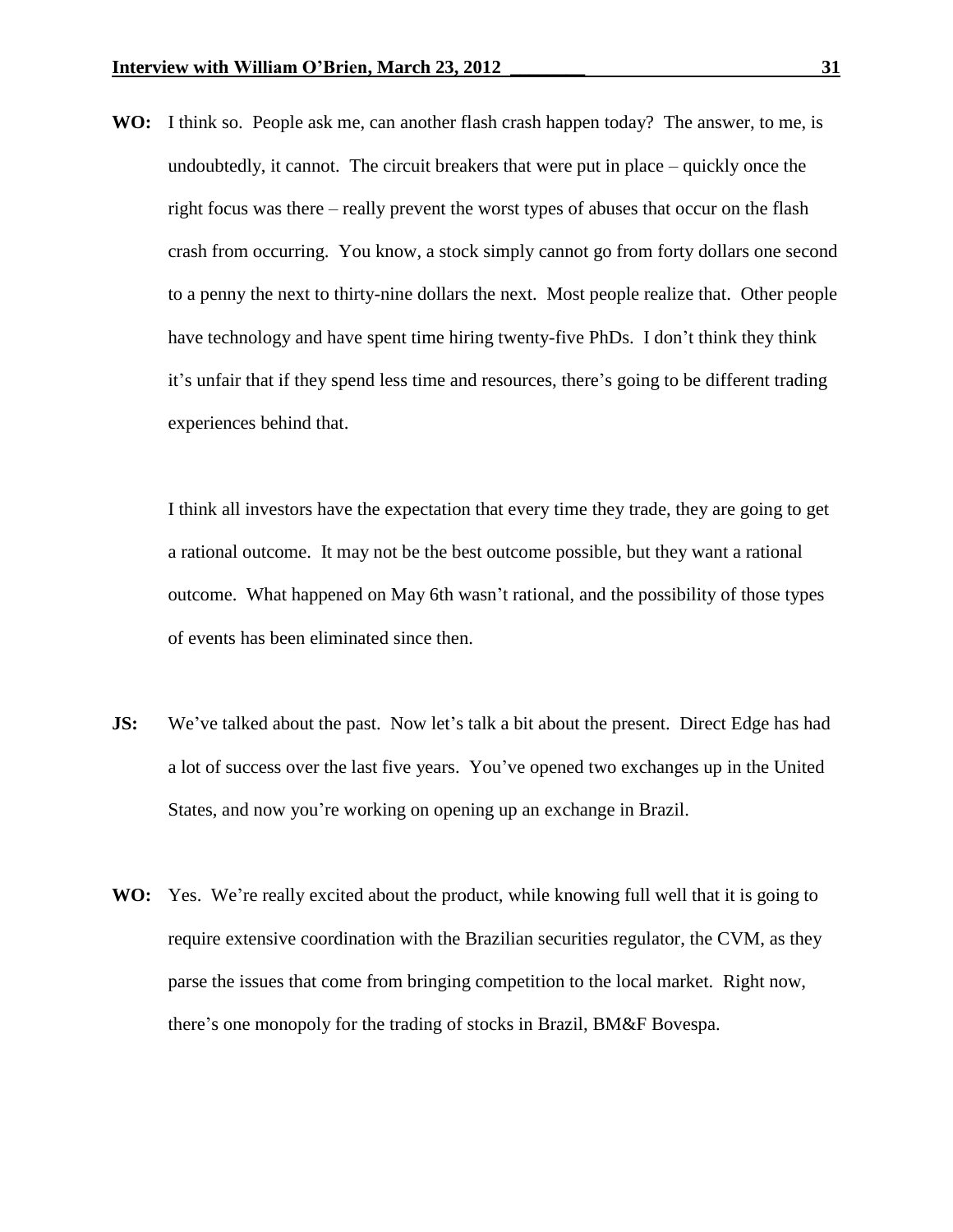**WO:** I think so. People ask me, can another flash crash happen today? The answer, to me, is undoubtedly, it cannot. The circuit breakers that were put in place – quickly once the right focus was there – really prevent the worst types of abuses that occur on the flash crash from occurring. You know, a stock simply cannot go from forty dollars one second to a penny the next to thirty-nine dollars the next. Most people realize that. Other people have technology and have spent time hiring twenty-five PhDs. I don't think they think it's unfair that if they spend less time and resources, there's going to be different trading experiences behind that.

I think all investors have the expectation that every time they trade, they are going to get a rational outcome. It may not be the best outcome possible, but they want a rational outcome. What happened on May 6th wasn't rational, and the possibility of those types of events has been eliminated since then.

- **JS:** We've talked about the past. Now let's talk a bit about the present. Direct Edge has had a lot of success over the last five years. You've opened two exchanges up in the United States, and now you're working on opening up an exchange in Brazil.
- **WO:** Yes. We're really excited about the product, while knowing full well that it is going to require extensive coordination with the Brazilian securities regulator, the CVM, as they parse the issues that come from bringing competition to the local market. Right now, there's one monopoly for the trading of stocks in Brazil, BM&F Bovespa.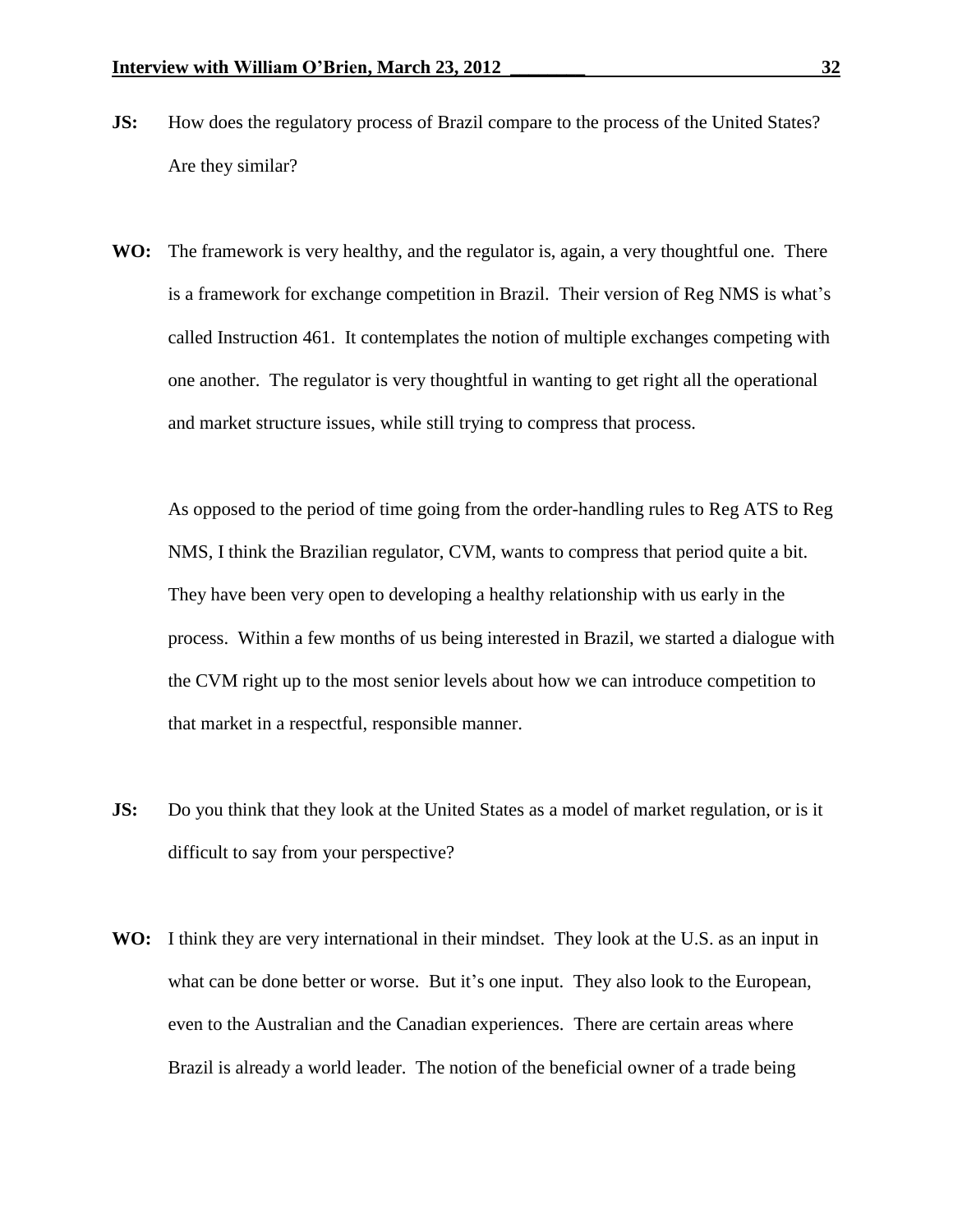- **JS:** How does the regulatory process of Brazil compare to the process of the United States? Are they similar?
- **WO:** The framework is very healthy, and the regulator is, again, a very thoughtful one. There is a framework for exchange competition in Brazil. Their version of Reg NMS is what's called Instruction 461. It contemplates the notion of multiple exchanges competing with one another. The regulator is very thoughtful in wanting to get right all the operational and market structure issues, while still trying to compress that process.

As opposed to the period of time going from the order-handling rules to Reg ATS to Reg NMS, I think the Brazilian regulator, CVM, wants to compress that period quite a bit. They have been very open to developing a healthy relationship with us early in the process. Within a few months of us being interested in Brazil, we started a dialogue with the CVM right up to the most senior levels about how we can introduce competition to that market in a respectful, responsible manner.

- **JS:** Do you think that they look at the United States as a model of market regulation, or is it difficult to say from your perspective?
- **WO:** I think they are very international in their mindset. They look at the U.S. as an input in what can be done better or worse. But it's one input. They also look to the European, even to the Australian and the Canadian experiences. There are certain areas where Brazil is already a world leader. The notion of the beneficial owner of a trade being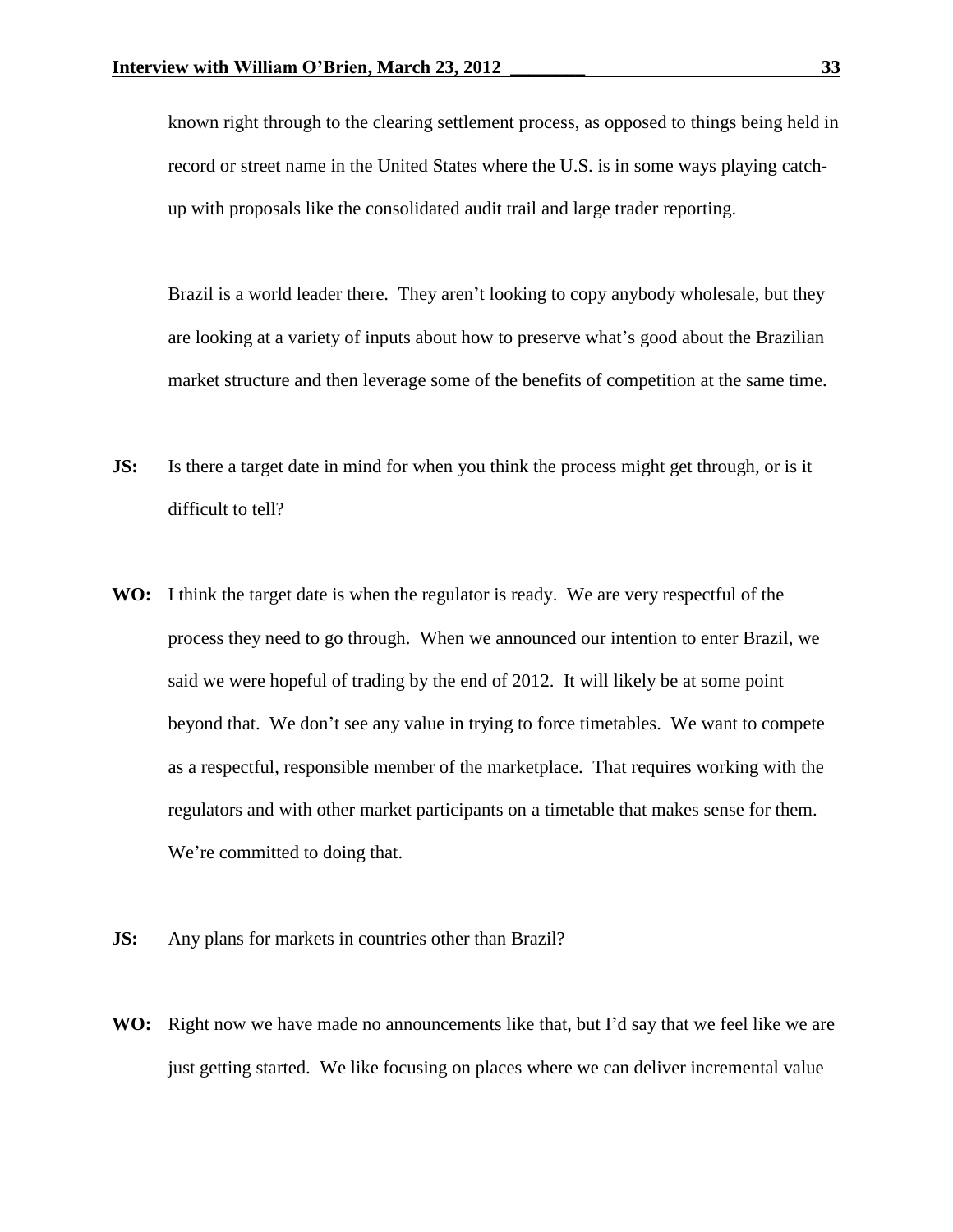known right through to the clearing settlement process, as opposed to things being held in record or street name in the United States where the U.S. is in some ways playing catchup with proposals like the consolidated audit trail and large trader reporting.

Brazil is a world leader there. They aren't looking to copy anybody wholesale, but they are looking at a variety of inputs about how to preserve what's good about the Brazilian market structure and then leverage some of the benefits of competition at the same time.

- **JS:** Is there a target date in mind for when you think the process might get through, or is it difficult to tell?
- **WO:** I think the target date is when the regulator is ready. We are very respectful of the process they need to go through. When we announced our intention to enter Brazil, we said we were hopeful of trading by the end of 2012. It will likely be at some point beyond that. We don't see any value in trying to force timetables. We want to compete as a respectful, responsible member of the marketplace. That requires working with the regulators and with other market participants on a timetable that makes sense for them. We're committed to doing that.
- **JS:** Any plans for markets in countries other than Brazil?
- **WO:** Right now we have made no announcements like that, but I'd say that we feel like we are just getting started. We like focusing on places where we can deliver incremental value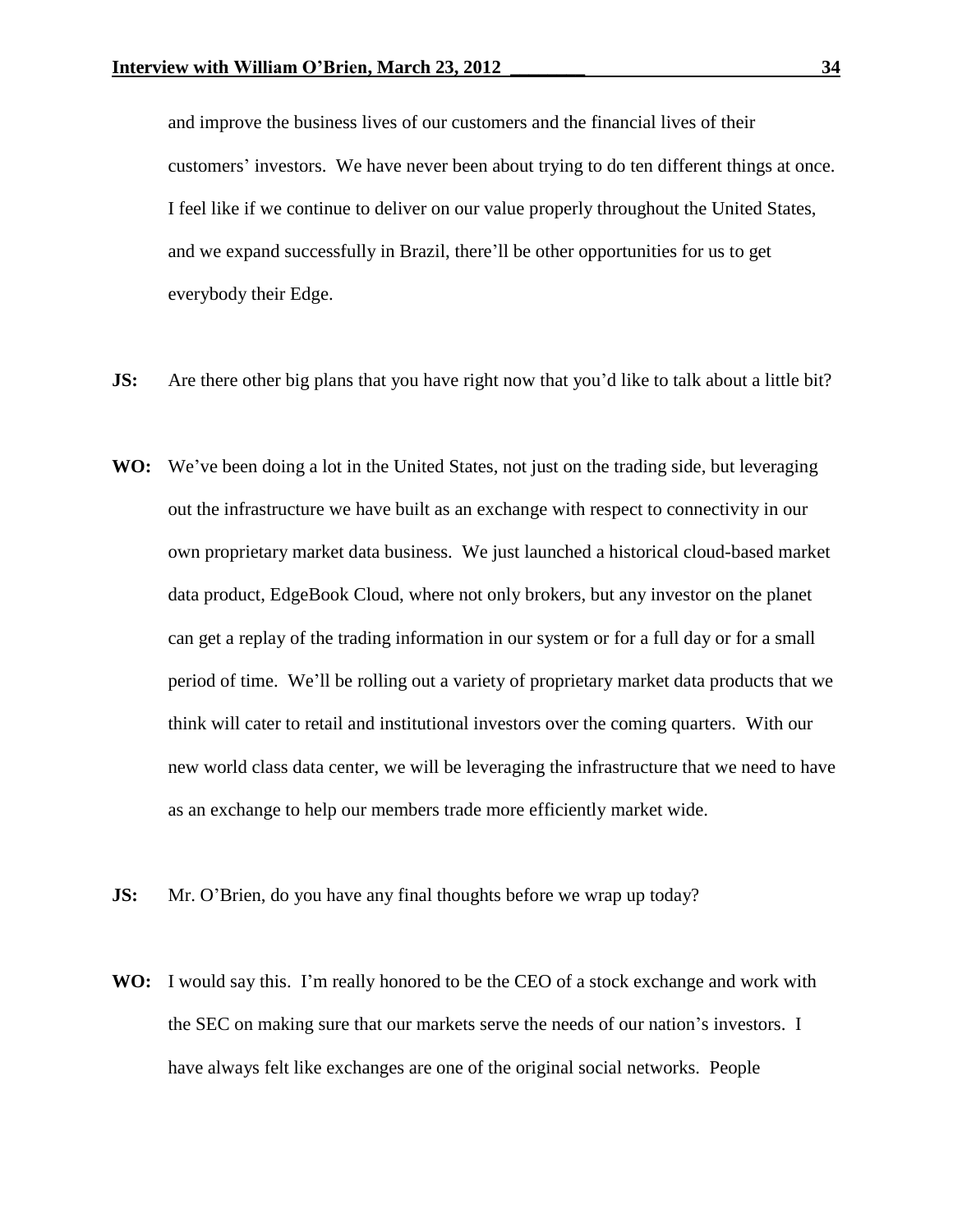and improve the business lives of our customers and the financial lives of their customers' investors. We have never been about trying to do ten different things at once. I feel like if we continue to deliver on our value properly throughout the United States, and we expand successfully in Brazil, there'll be other opportunities for us to get everybody their Edge.

- **JS:** Are there other big plans that you have right now that you'd like to talk about a little bit?
- **WO:** We've been doing a lot in the United States, not just on the trading side, but leveraging out the infrastructure we have built as an exchange with respect to connectivity in our own proprietary market data business. We just launched a historical cloud-based market data product, EdgeBook Cloud, where not only brokers, but any investor on the planet can get a replay of the trading information in our system or for a full day or for a small period of time. We'll be rolling out a variety of proprietary market data products that we think will cater to retail and institutional investors over the coming quarters. With our new world class data center, we will be leveraging the infrastructure that we need to have as an exchange to help our members trade more efficiently market wide.
- **JS:** Mr. O'Brien, do you have any final thoughts before we wrap up today?
- **WO:** I would say this. I'm really honored to be the CEO of a stock exchange and work with the SEC on making sure that our markets serve the needs of our nation's investors. I have always felt like exchanges are one of the original social networks. People